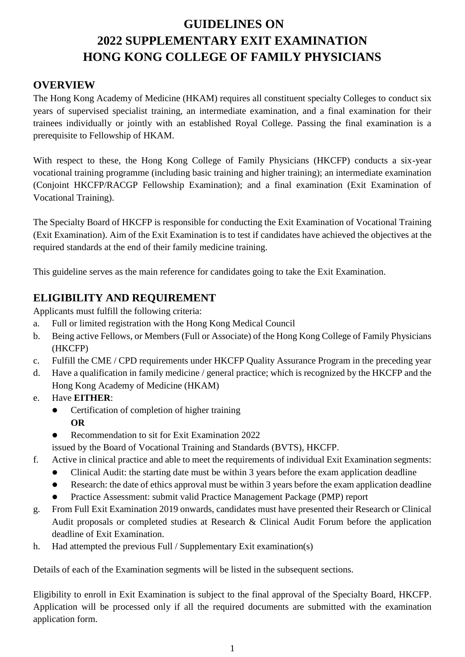# **GUIDELINES ON 2022 SUPPLEMENTARY EXIT EXAMINATION HONG KONG COLLEGE OF FAMILY PHYSICIANS**

# **OVERVIEW**

The Hong Kong Academy of Medicine (HKAM) requires all constituent specialty Colleges to conduct six years of supervised specialist training, an intermediate examination, and a final examination for their trainees individually or jointly with an established Royal College. Passing the final examination is a prerequisite to Fellowship of HKAM.

With respect to these, the Hong Kong College of Family Physicians (HKCFP) conducts a six-year vocational training programme (including basic training and higher training); an intermediate examination (Conjoint HKCFP/RACGP Fellowship Examination); and a final examination (Exit Examination of Vocational Training).

The Specialty Board of HKCFP is responsible for conducting the Exit Examination of Vocational Training (Exit Examination). Aim of the Exit Examination is to test if candidates have achieved the objectives at the required standards at the end of their family medicine training.

This guideline serves as the main reference for candidates going to take the Exit Examination.

# **ELIGIBILITY AND REQUIREMENT**

Applicants must fulfill the following criteria:

- a. Full or limited registration with the Hong Kong Medical Council
- b. Being active Fellows, or Members (Full or Associate) of the Hong Kong College of Family Physicians (HKCFP)
- c. Fulfill the CME / CPD requirements under HKCFP Quality Assurance Program in the preceding year
- d. Have a qualification in family medicine / general practice; which is recognized by the HKCFP and the Hong Kong Academy of Medicine (HKAM)
- e. Have **EITHER**:
	- Certification of completion of higher training
		- **OR**
		- Recommendation to sit for Exit Examination 2022
	- issued by the Board of Vocational Training and Standards (BVTS), HKCFP.
- f. Active in clinical practice and able to meet the requirements of individual Exit Examination segments:
	- Clinical Audit: the starting date must be within 3 years before the exam application deadline
	- Research: the date of ethics approval must be within 3 years before the exam application deadline
	- Practice Assessment: submit valid Practice Management Package (PMP) report
- g. From Full Exit Examination 2019 onwards, candidates must have presented their Research or Clinical Audit proposals or completed studies at Research & Clinical Audit Forum before the application deadline of Exit Examination.
- h. Had attempted the previous Full / Supplementary Exit examination(s)

Details of each of the Examination segments will be listed in the subsequent sections.

Eligibility to enroll in Exit Examination is subject to the final approval of the Specialty Board, HKCFP. Application will be processed only if all the required documents are submitted with the examination application form.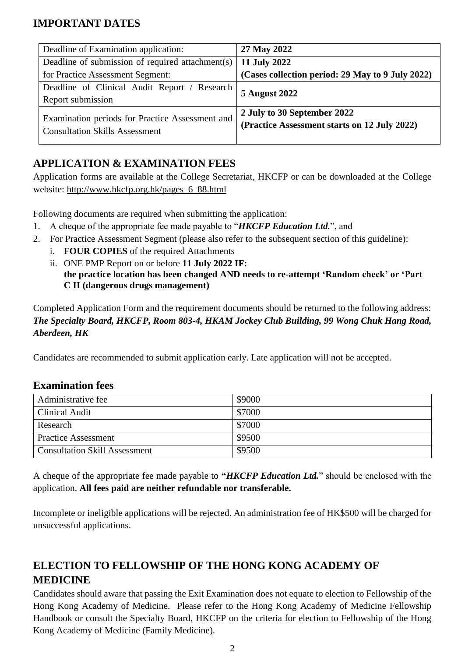# **IMPORTANT DATES**

| Deadline of Examination application:             | 27 May 2022                                      |
|--------------------------------------------------|--------------------------------------------------|
| Deadline of submission of required attachment(s) | 11 July 2022                                     |
| for Practice Assessment Segment:                 | (Cases collection period: 29 May to 9 July 2022) |
| Deadline of Clinical Audit Report / Research     | <b>5 August 2022</b>                             |
| Report submission                                |                                                  |
| Examination periods for Practice Assessment and  | 2 July to 30 September 2022                      |
| <b>Consultation Skills Assessment</b>            | (Practice Assessment starts on 12 July 2022)     |
|                                                  |                                                  |

# **APPLICATION & EXAMINATION FEES**

Application forms are available at the College Secretariat, HKCFP or can be downloaded at the College website: [http://www.hkcfp.org.hk/pages\\_6\\_88.html](http://www.hkcfp.org.hk/pages_6_88.html)

Following documents are required when submitting the application:

- 1. A cheque of the appropriate fee made payable to "*HKCFP Education Ltd.*", and
- 2. For Practice Assessment Segment (please also refer to the subsequent section of this guideline):
	- i. **FOUR COPIES** of the required Attachments
	- ii. ONE PMP Report on or before **11 July 2022 IF: the practice location has been changed AND needs to re-attempt 'Random check' or 'Part C II (dangerous drugs management)**

Completed Application Form and the requirement documents should be returned to the following address: *The Specialty Board, HKCFP, Room 803-4, HKAM Jockey Club Building, 99 Wong Chuk Hang Road, Aberdeen, HK*

Candidates are recommended to submit application early. Late application will not be accepted.

### **Examination fees**

| Administrative fee                   | \$9000 |
|--------------------------------------|--------|
| <b>Clinical Audit</b>                | \$7000 |
| Research                             | \$7000 |
| <b>Practice Assessment</b>           | \$9500 |
| <b>Consultation Skill Assessment</b> | \$9500 |

A cheque of the appropriate fee made payable to **"***HKCFP Education Ltd.*" should be enclosed with the application. **All fees paid are neither refundable nor transferable.** 

Incomplete or ineligible applications will be rejected. An administration fee of HK\$500 will be charged for unsuccessful applications.

# **ELECTION TO FELLOWSHIP OF THE HONG KONG ACADEMY OF MEDICINE**

Candidates should aware that passing the Exit Examination does not equate to election to Fellowship of the Hong Kong Academy of Medicine. Please refer to the Hong Kong Academy of Medicine Fellowship Handbook or consult the Specialty Board, HKCFP on the criteria for election to Fellowship of the Hong Kong Academy of Medicine (Family Medicine).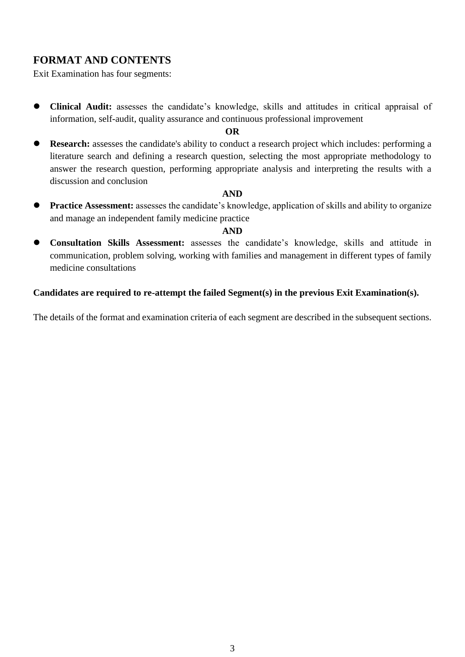# **FORMAT AND CONTENTS**

Exit Examination has four segments:

 **Clinical Audit:** assesses the candidate's knowledge, skills and attitudes in critical appraisal of information, self-audit, quality assurance and continuous professional improvement

#### **OR**

 **Research:** assesses the candidate's ability to conduct a research project which includes: performing a literature search and defining a research question, selecting the most appropriate methodology to answer the research question, performing appropriate analysis and interpreting the results with a discussion and conclusion

#### **AND**

**Practice Assessment:** assesses the candidate's knowledge, application of skills and ability to organize and manage an independent family medicine practice

#### **AND**

 **Consultation Skills Assessment:** assesses the candidate's knowledge, skills and attitude in communication, problem solving, working with families and management in different types of family medicine consultations

#### **Candidates are required to re-attempt the failed Segment(s) in the previous Exit Examination(s).**

The details of the format and examination criteria of each segment are described in the subsequent sections.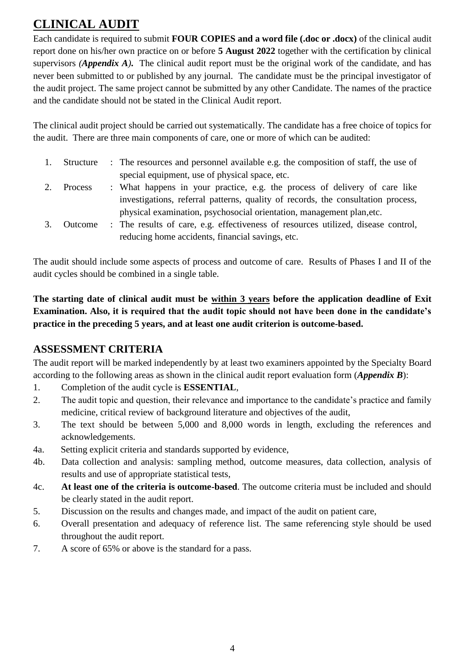# **CLINICAL AUDIT**

Each candidate is required to submit **FOUR COPIES and a word file (.doc or .docx)** of the clinical audit report done on his/her own practice on or before **5 August 2022** together with the certification by clinical supervisors *(Appendix A)*. The clinical audit report must be the original work of the candidate, and has never been submitted to or published by any journal. The candidate must be the principal investigator of the audit project. The same project cannot be submitted by any other Candidate. The names of the practice and the candidate should not be stated in the Clinical Audit report.

The clinical audit project should be carried out systematically. The candidate has a free choice of topics for the audit. There are three main components of care, one or more of which can be audited:

- 1. Structure : The resources and personnel available e.g. the composition of staff, the use of special equipment, use of physical space, etc.
- 2. Process : What happens in your practice, e.g. the process of delivery of care like investigations, referral patterns, quality of records, the consultation process, physical examination, psychosocial orientation, management plan,etc.
- 3. Outcome : The results of care, e.g. effectiveness of resources utilized, disease control, reducing home accidents, financial savings, etc.

The audit should include some aspects of process and outcome of care. Results of Phases I and II of the audit cycles should be combined in a single table.

**The starting date of clinical audit must be within 3 years before the application deadline of Exit Examination. Also, it is required that the audit topic should not have been done in the candidate's practice in the preceding 5 years, and at least one audit criterion is outcome-based.**

# **ASSESSMENT CRITERIA**

The audit report will be marked independently by at least two examiners appointed by the Specialty Board according to the following areas as shown in the clinical audit report evaluation form (*Appendix B*):

- 1. Completion of the audit cycle is **ESSENTIAL**,
- 2. The audit topic and question, their relevance and importance to the candidate's practice and family medicine, critical review of background literature and objectives of the audit,
- 3. The text should be between 5,000 and 8,000 words in length, excluding the references and acknowledgements.
- 4a. Setting explicit criteria and standards supported by evidence,
- 4b. Data collection and analysis: sampling method, outcome measures, data collection, analysis of results and use of appropriate statistical tests,
- 4c. **At least one of the criteria is outcome-based**. The outcome criteria must be included and should be clearly stated in the audit report.
- 5. Discussion on the results and changes made, and impact of the audit on patient care,
- 6. Overall presentation and adequacy of reference list. The same referencing style should be used throughout the audit report.
- 7. A score of 65% or above is the standard for a pass.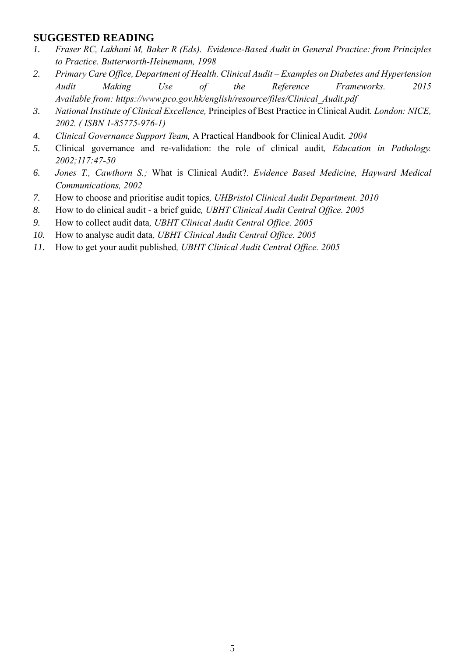## **SUGGESTED READING**

- *1. Fraser RC, Lakhani M, Baker R (Eds). Evidence-Based Audit in General Practice: from Principles to Practice. Butterworth-Heinemann, 1998*
- *2. Primary Care Office, Department of Health. Clinical Audit – Examples on Diabetes and Hypertension Audit Making Use of the Reference Frameworks. 2015 Available from: [https://www.pco.gov.hk/english/resource/files/Clinical\\_Audit.pdf](https://www.pco.gov.hk/english/resource/files/Clinical_Audit.pdf)*
- *3. National Institute of Clinical Excellence,* [Principles of Best Practice in Clinical Audit](https://web.archive.org/web/20050828114806/http:/www.nelh.nhs.uk/nice_bpca.asp)*. London: NICE, 2002. ( [ISBN](https://en.wikipedia.org/wiki/International_Standard_Book_Number) [1-85775-976-1\)](https://en.wikipedia.org/wiki/Special:BookSources/1-85775-976-1)*
- *4. Clinical Governance Support Team,* [A Practical Handbook for Clinical Audit](https://web.archive.org/web/20051125164148/http:/www.cgsupport.nhs.uk/Resources/Clinical_Audit/1%40Introduction_and_Contents.asp)*. 2004*
- *5.* [Clinical governance and re-validation: the role of clinical audit](https://web.archive.org/web/20041108232153/http:/www.rcpath.org/resources/pdf/clinical.pdf)*, Education in Pathology. 2002;117:47-50*
- *6. Jones T., Cawthorn S.;* [What is Clinical Audit?](https://web.archive.org/web/20051030022009/http:/www.evidence-based-medicine.co.uk/ebmfiles/WhatisClinAudit.pdf)*. Evidence Based Medicine, Hayward Medical Communications, 2002*
- *7.* [How to choose and prioritise audit topics](https://web.archive.org/web/20101121191920/http:/www.uhbristol.nhs.uk/files/nhs-ubht/3%20How%20to%20Choose%20%26%20Prioritise%20Topics%20v3.pdf)*, UHBristol Clinical Audit Department. 2010*
- *8.* [How to do clinical audit -](http://webarchive.nationalarchives.gov.uk/20081215184834/http%3A/www.uhbristol.nhs.uk/documents/how_to_ca_brief_guide.pdf) a brief guide*, UBHT Clinical Audit Central Office. 2005*
- *9.* [How to collect audit data](http://webarchive.nationalarchives.gov.uk/20081215184847/http%3A/www.uhbristol.nhs.uk/documents/how_to_audit_data.pdf)*, UBHT Clinical Audit Central Office. 2005*
- *10.* [How to analyse audit data](http://webarchive.nationalarchives.gov.uk/20081215184849/http%3A/www.uhbristol.nhs.uk/documents/how_to_analyse_audit_data.pdf)*, UBHT Clinical Audit Central Office. 2005*
- *11.* [How to get your audit published](http://webarchive.nationalarchives.gov.uk/20081215184858/http%3A/www.uhbristol.nhs.uk/documents/how_to_published.pdf)*, UBHT Clinical Audit Central Office. 2005*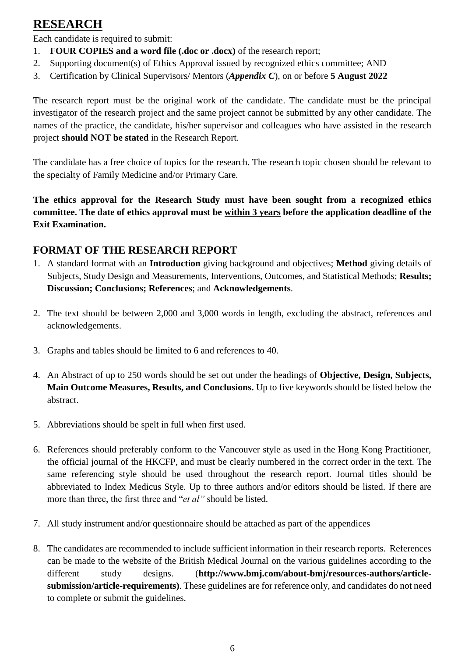# **RESEARCH**

Each candidate is required to submit:

- 1. **FOUR COPIES and a word file (.doc or .docx)** of the research report;
- 2. Supporting document(s) of Ethics Approval issued by recognized ethics committee; AND
- 3. Certification by Clinical Supervisors/ Mentors (*Appendix C*), on or before **5 August 2022**

The research report must be the original work of the candidate. The candidate must be the principal investigator of the research project and the same project cannot be submitted by any other candidate. The names of the practice, the candidate, his/her supervisor and colleagues who have assisted in the research project **should NOT be stated** in the Research Report.

The candidate has a free choice of topics for the research. The research topic chosen should be relevant to the specialty of Family Medicine and/or Primary Care.

**The ethics approval for the Research Study must have been sought from a recognized ethics committee. The date of ethics approval must be within 3 years before the application deadline of the Exit Examination.** 

# **FORMAT OF THE RESEARCH REPORT**

- 1. A standard format with an **Introduction** giving background and objectives; **Method** giving details of Subjects, Study Design and Measurements, Interventions, Outcomes, and Statistical Methods; **Results; Discussion; Conclusions; References**; and **Acknowledgements**.
- 2. The text should be between 2,000 and 3,000 words in length, excluding the abstract, references and acknowledgements.
- 3. Graphs and tables should be limited to 6 and references to 40.
- 4. An Abstract of up to 250 words should be set out under the headings of **Objective, Design, Subjects, Main Outcome Measures, Results, and Conclusions.** Up to five keywords should be listed below the abstract.
- 5. Abbreviations should be spelt in full when first used.
- 6. References should preferably conform to the Vancouver style as used in the Hong Kong Practitioner, the official journal of the HKCFP, and must be clearly numbered in the correct order in the text. The same referencing style should be used throughout the research report. Journal titles should be abbreviated to Index Medicus Style. Up to three authors and/or editors should be listed. If there are more than three, the first three and "*et al"* should be listed.
- 7. All study instrument and/or questionnaire should be attached as part of the appendices
- 8. The candidates are recommended to include sufficient information in their research reports. References can be made to the website of the British Medical Journal on the various guidelines according to the different study designs. (**http://www.bmj.com/about-bmj/resources-authors/articlesubmission/article-requirements)**. These guidelines are for reference only, and candidates do not need to complete or submit the guidelines.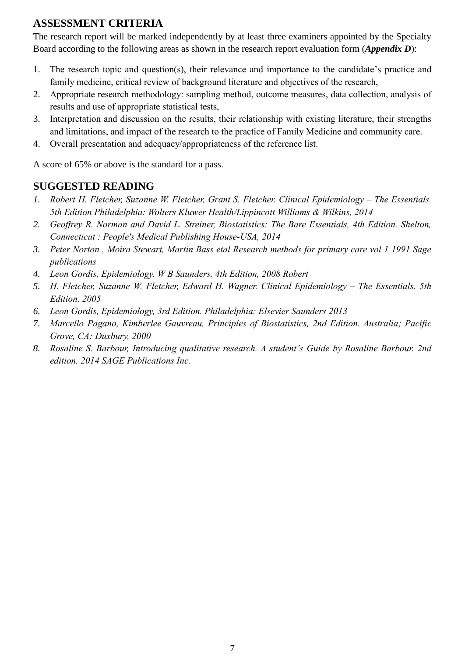# **ASSESSMENT CRITERIA**

The research report will be marked independently by at least three examiners appointed by the Specialty Board according to the following areas as shown in the research report evaluation form (*Appendix D*):

- 1. The research topic and question(s), their relevance and importance to the candidate's practice and family medicine, critical review of background literature and objectives of the research,
- 2. Appropriate research methodology: sampling method, outcome measures, data collection, analysis of results and use of appropriate statistical tests,
- 3. Interpretation and discussion on the results, their relationship with existing literature, their strengths and limitations, and impact of the research to the practice of Family Medicine and community care.
- 4. Overall presentation and adequacy/appropriateness of the reference list.

A score of 65% or above is the standard for a pass.

# **SUGGESTED READING**

- *1. Robert H. Fletcher, Suzanne W. Fletcher, Grant S. Fletcher. Clinical Epidemiology – The Essentials. 5th Edition Philadelphia: Wolters Kluwer Health/Lippincott Williams & Wilkins, 2014*
- *2. Geoffrey R. Norman and David L. Streiner, Biostatistics: The Bare Essentials, 4th Edition. Shelton, Connecticut : People's Medical Publishing House-USA, 2014*
- *3. Peter Norton , Moira Stewart, Martin Bass etal Research methods for primary care vol 1 1991 Sage publications*
- *4. Leon Gordis, Epidemiology. W B Saunders, 4th Edition, 2008 Robert*
- *5. H. Fletcher, Suzanne W. Fletcher, Edward H. Wagner. Clinical Epidemiology – The Essentials. 5th Edition, 2005*
- *6. Leon Gordis, Epidemiology, 3rd Edition. Philadelphia: Elsevier Saunders 2013*
- *7. Marcello Pagano, Kimberlee Gauvreau, Principles of Biostatistics, 2nd Edition. Australia; Pacific Grove, CA: Duxbury, 2000*
- *8. Rosaline S. Barbour, Introducing qualitative research. A student's Guide by Rosaline Barbour. 2nd edition. 2014 SAGE Publications Inc.*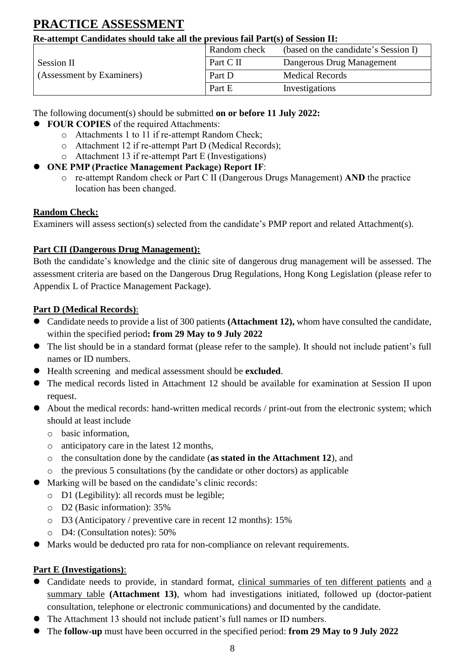# **PRACTICE ASSESSMENT**

## **Re-attempt Candidates should take all the previous fail Part(s) of Session II:**

|                           | Random check | (based on the candidate's Session I) |
|---------------------------|--------------|--------------------------------------|
| Session II                | Part C II    | Dangerous Drug Management            |
| (Assessment by Examiners) | Part D       | <b>Medical Records</b>               |
|                           | Part E       | Investigations                       |

The following document(s) should be submitted **on or before 11 July 2022:**

- **FOUR COPIES** of the required Attachments:
	- o Attachments 1 to 11 if re-attempt Random Check;
	- o Attachment 12 if re-attempt Part D (Medical Records);
	- o Attachment 13 if re-attempt Part E (Investigations)
- **ONE PMP (Practice Management Package) Report IF**:
	- o re-attempt Random check or Part C II (Dangerous Drugs Management) **AND** the practice location has been changed.

# **Random Check:**

Examiners will assess section(s) selected from the candidate's PMP report and related Attachment(s).

# **Part CII (Dangerous Drug Management):**

Both the candidate's knowledge and the clinic site of dangerous drug management will be assessed. The assessment criteria are based on the Dangerous Drug Regulations, Hong Kong Legislation (please refer to Appendix L of Practice Management Package).

## **Part D (Medical Records)**:

- Candidate needs to provide a list of 300 patients **(Attachment 12),** whom have consulted the candidate, within the specified period**: from 29 May to 9 July 2022**
- The list should be in a standard format (please refer to the sample). It should not include patient's full names or ID numbers.
- Health screening and medical assessment should be **excluded**.
- The medical records listed in Attachment 12 should be available for examination at Session II upon request.
- About the medical records: hand-written medical records / print-out from the electronic system; which should at least include
	- o basic information,
	- o anticipatory care in the latest 12 months,
	- o the consultation done by the candidate (**as stated in the Attachment 12**), and
	- o the previous 5 consultations (by the candidate or other doctors) as applicable
- Marking will be based on the candidate's clinic records:
	- o D1 (Legibility): all records must be legible;
	- o D2 (Basic information): 35%
	- o D3 (Anticipatory / preventive care in recent 12 months): 15%
	- o D4: (Consultation notes): 50%
- Marks would be deducted pro rata for non-compliance on relevant requirements.

## **Part E (Investigations)**:

- Candidate needs to provide, in standard format, clinical summaries of ten different patients and a summary table **(Attachment 13)**, whom had investigations initiated, followed up (doctor-patient consultation, telephone or electronic communications) and documented by the candidate.
- The Attachment 13 should not include patient's full names or ID numbers.
- The **follow-up** must have been occurred in the specified period: **from 29 May to 9 July 2022**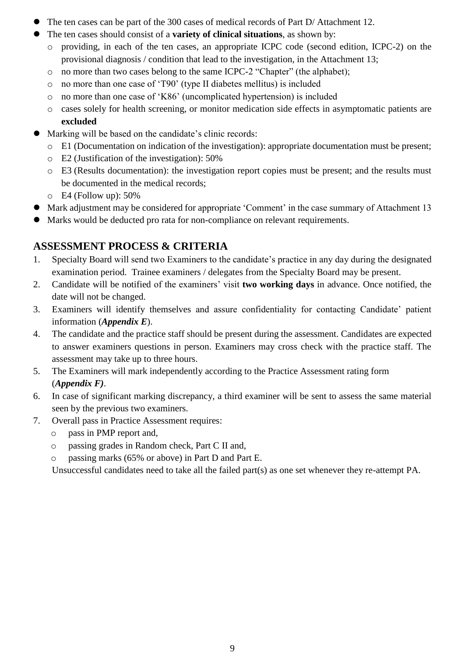- The ten cases can be part of the 300 cases of medical records of Part D/ Attachment 12.
- The ten cases should consist of a **variety of clinical situations**, as shown by:
	- o providing, in each of the ten cases, an appropriate ICPC code (second edition, ICPC-2) on the provisional diagnosis / condition that lead to the investigation, in the Attachment 13;
	- o no more than two cases belong to the same ICPC-2 "Chapter" (the alphabet);
	- o no more than one case of 'T90' (type II diabetes mellitus) is included
	- o no more than one case of 'K86' (uncomplicated hypertension) is included
	- o cases solely for health screening, or monitor medication side effects in asymptomatic patients are **excluded**
- Marking will be based on the candidate's clinic records:
	- o E1 (Documentation on indication of the investigation): appropriate documentation must be present;
	- o E2 (Justification of the investigation): 50%
	- o E3 (Results documentation): the investigation report copies must be present; and the results must be documented in the medical records;
	- o E4 (Follow up): 50%
- Mark adjustment may be considered for appropriate 'Comment' in the case summary of Attachment 13
- Marks would be deducted pro rata for non-compliance on relevant requirements.

# **ASSESSMENT PROCESS & CRITERIA**

- 1. Specialty Board will send two Examiners to the candidate's practice in any day during the designated examination period. Trainee examiners / delegates from the Specialty Board may be present.
- 2. Candidate will be notified of the examiners' visit **two working days** in advance. Once notified, the date will not be changed.
- 3. Examiners will identify themselves and assure confidentiality for contacting Candidate' patient information (*Appendix E*).
- 4. The candidate and the practice staff should be present during the assessment. Candidates are expected to answer examiners questions in person. Examiners may cross check with the practice staff. The assessment may take up to three hours.
- 5. The Examiners will mark independently according to the Practice Assessment rating form (*Appendix F)*.
- 6. In case of significant marking discrepancy, a third examiner will be sent to assess the same material seen by the previous two examiners.
- 7. Overall pass in Practice Assessment requires:
	- o pass in PMP report and,
	- o passing grades in Random check, Part C II and,
	- o passing marks (65% or above) in Part D and Part E.

Unsuccessful candidates need to take all the failed part(s) as one set whenever they re-attempt PA.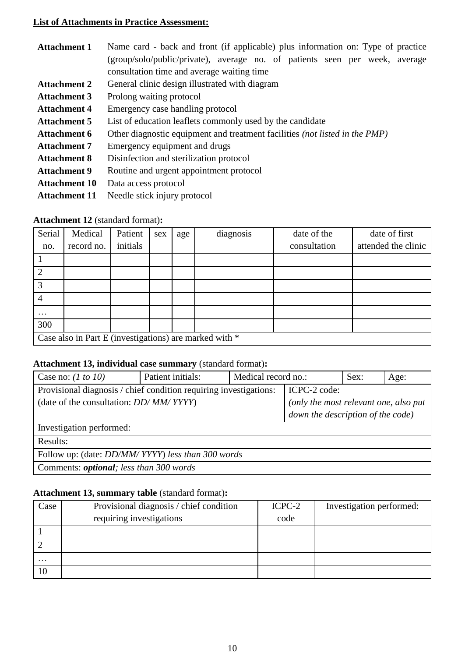#### **List of Attachments in Practice Assessment:**

| Name card - back and front (if applicable) plus information on: Type of practice |
|----------------------------------------------------------------------------------|
| (group/solo/public/private), average no. of patients seen per week, average      |
| consultation time and average waiting time                                       |
| General clinic design illustrated with diagram                                   |
| Prolong waiting protocol                                                         |
| Emergency case handling protocol                                                 |
| List of education leaflets commonly used by the candidate                        |
| Other diagnostic equipment and treatment facilities (not listed in the PMP)      |
| Emergency equipment and drugs                                                    |
| Disinfection and sterilization protocol                                          |
| Routine and urgent appointment protocol                                          |
| Data access protocol                                                             |
|                                                                                  |

**Attachment 11** Needle stick injury protocol

#### **Attachment 12** (standard format)**:**

| Serial        | Medical                                                | Patient  | sex | age | diagnosis | date of the  | date of first       |
|---------------|--------------------------------------------------------|----------|-----|-----|-----------|--------------|---------------------|
| no.           | record no.                                             | initials |     |     |           | consultation | attended the clinic |
|               |                                                        |          |     |     |           |              |                     |
| $\mathcal{D}$ |                                                        |          |     |     |           |              |                     |
| 3             |                                                        |          |     |     |           |              |                     |
|               |                                                        |          |     |     |           |              |                     |
| $\cdots$      |                                                        |          |     |     |           |              |                     |
| 300           |                                                        |          |     |     |           |              |                     |
|               | Case also in Part E (investigations) are marked with * |          |     |     |           |              |                     |

#### **Attachment 13, individual case summary** (standard format)**:**

| Case no: $(1 to 10)$                                                                                                                  | Patient initials: | Medical record no.: |                                                                                            | Sex: | Age: |
|---------------------------------------------------------------------------------------------------------------------------------------|-------------------|---------------------|--------------------------------------------------------------------------------------------|------|------|
| Provisional diagnosis / chief condition requiring investigations:<br>(date of the consultation: <i>DD</i> / <i>MM</i> / <i>YYYY</i> ) |                   |                     | ICPC-2 code:<br>(only the most relevant one, also put<br>down the description of the code) |      |      |
| Investigation performed:                                                                                                              |                   |                     |                                                                                            |      |      |
| Results:                                                                                                                              |                   |                     |                                                                                            |      |      |
| Follow up: (date: <i>DD/MM/YYYY)</i> less than 300 words                                                                              |                   |                     |                                                                                            |      |      |
| Comments: <i>optional</i> ; less than 300 words                                                                                       |                   |                     |                                                                                            |      |      |

## **Attachment 13, summary table** (standard format)**:**

| Case     | Provisional diagnosis / chief condition | ICPC-2 | Investigation performed: |
|----------|-----------------------------------------|--------|--------------------------|
|          | requiring investigations                | code   |                          |
|          |                                         |        |                          |
|          |                                         |        |                          |
| $\cdots$ |                                         |        |                          |
| 10       |                                         |        |                          |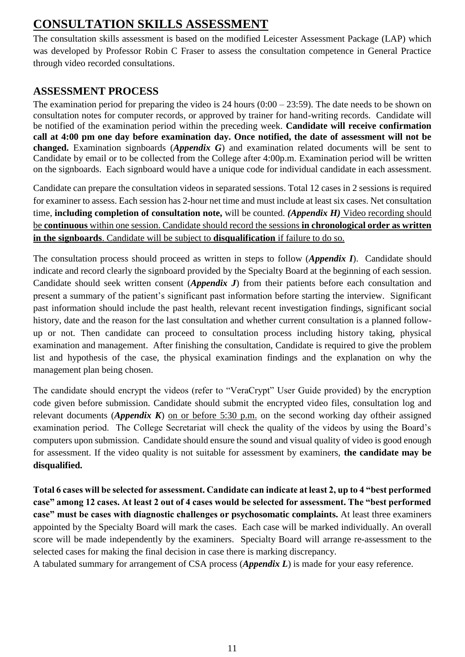# **CONSULTATION SKILLS ASSESSMENT**

The consultation skills assessment is based on the modified Leicester Assessment Package (LAP) which was developed by Professor Robin C Fraser to assess the consultation competence in General Practice through video recorded consultations.

# **ASSESSMENT PROCESS**

The examination period for preparing the video is 24 hours  $(0.00 - 23.59)$ . The date needs to be shown on consultation notes for computer records, or approved by trainer for hand-writing records. Candidate will be notified of the examination period within the preceding week. **Candidate will receive confirmation call at 4:00 pm one day before examination day. Once notified, the date of assessment will not be changed.** Examination signboards (*Appendix G*) and examination related documents will be sent to Candidate by email or to be collected from the College after 4:00p.m. Examination period will be written on the signboards. Each signboard would have a unique code for individual candidate in each assessment.

Candidate can prepare the consultation videos in separated sessions. Total 12 cases in 2 sessions is required for examiner to assess. Each session has 2-hour net time and must include at least six cases. Net consultation time, **including completion of consultation note,** will be counted. *(Appendix H)* Video recording should be **continuous** within one session. Candidate should record the sessions **in chronological order as written in the signboards**. Candidate will be subject to **disqualification** if failure to do so.

The consultation process should proceed as written in steps to follow (*Appendix I*). Candidate should indicate and record clearly the signboard provided by the Specialty Board at the beginning of each session. Candidate should seek written consent (*Appendix J*) from their patients before each consultation and present a summary of the patient's significant past information before starting the interview. Significant past information should include the past health, relevant recent investigation findings, significant social history, date and the reason for the last consultation and whether current consultation is a planned followup or not. Then candidate can proceed to consultation process including history taking, physical examination and management. After finishing the consultation, Candidate is required to give the problem list and hypothesis of the case, the physical examination findings and the explanation on why the management plan being chosen.

The candidate should encrypt the videos (refer to "VeraCrypt" User Guide provided) by the encryption code given before submission. Candidate should submit the encrypted video files, consultation log and relevant documents (*Appendix K*) on or before 5:30 p.m. on the second working day oftheir assigned examination period. The College Secretariat will check the quality of the videos by using the Board's computers upon submission. Candidate should ensure the sound and visual quality of video is good enough for assessment. If the video quality is not suitable for assessment by examiners, **the candidate may be disqualified.**

**Total 6 cases will be selected for assessment. Candidate can indicate at least 2, up to 4 "best performed case" among 12 cases. At least 2 out of 4 cases would be selected for assessment. The "best performed case" must be cases with diagnostic challenges or psychosomatic complaints.** At least three examiners appointed by the Specialty Board will mark the cases. Each case will be marked individually. An overall score will be made independently by the examiners. Specialty Board will arrange re-assessment to the selected cases for making the final decision in case there is marking discrepancy.

A tabulated summary for arrangement of CSA process (*Appendix L*) is made for your easy reference.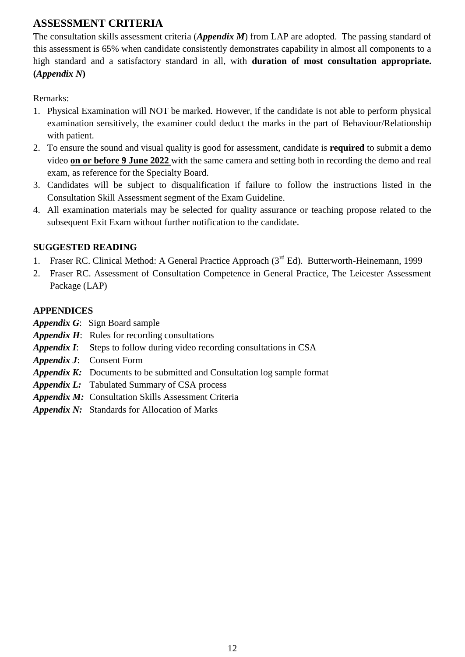# **ASSESSMENT CRITERIA**

The consultation skills assessment criteria (*Appendix M*) from LAP are adopted. The passing standard of this assessment is 65% when candidate consistently demonstrates capability in almost all components to a high standard and a satisfactory standard in all, with **duration of most consultation appropriate. (***Appendix N***)**

Remarks:

- 1. Physical Examination will NOT be marked. However, if the candidate is not able to perform physical examination sensitively, the examiner could deduct the marks in the part of Behaviour/Relationship with patient.
- 2. To ensure the sound and visual quality is good for assessment, candidate is **required** to submit a demo video **on or before 9 June 2022** with the same camera and setting both in recording the demo and real exam, as reference for the Specialty Board.
- 3. Candidates will be subject to disqualification if failure to follow the instructions listed in the Consultation Skill Assessment segment of the Exam Guideline.
- 4. All examination materials may be selected for quality assurance or teaching propose related to the subsequent Exit Exam without further notification to the candidate.

## **SUGGESTED READING**

- 1. Fraser RC. Clinical Method: A General Practice Approach (3<sup>rd</sup> Ed). Butterworth-Heinemann, 1999
- 2. Fraser RC. Assessment of Consultation Competence in General Practice, The Leicester Assessment Package (LAP)

### **APPENDICES**

- *Appendix G*: Sign Board sample
- *Appendix H*: Rules for recording consultations
- *Appendix I*: Steps to follow during video recording consultations in CSA
- *Appendix J*: Consent Form
- *Appendix K:* Documents to be submitted and Consultation log sample format
- *Appendix L:* Tabulated Summary of CSA process
- *Appendix M:* Consultation Skills Assessment Criteria
- *Appendix N:* Standards for Allocation of Marks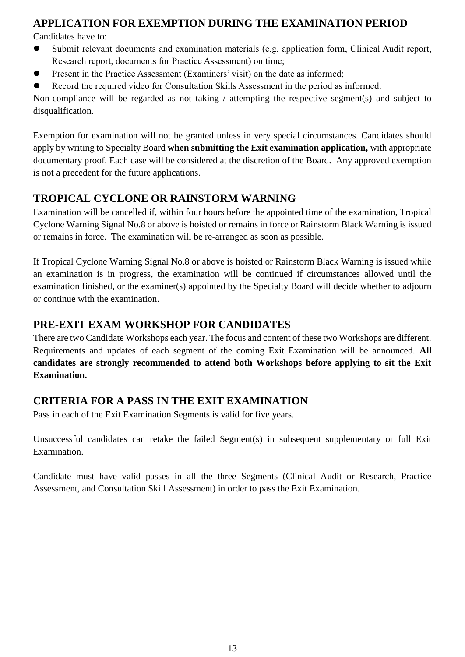# **APPLICATION FOR EXEMPTION DURING THE EXAMINATION PERIOD**

Candidates have to:

- Submit relevant documents and examination materials (e.g. application form, Clinical Audit report, Research report, documents for Practice Assessment) on time;
- Present in the Practice Assessment (Examiners' visit) on the date as informed;
- Record the required video for Consultation Skills Assessment in the period as informed.

Non-compliance will be regarded as not taking / attempting the respective segment(s) and subject to disqualification.

Exemption for examination will not be granted unless in very special circumstances. Candidates should apply by writing to Specialty Board **when submitting the Exit examination application,** with appropriate documentary proof. Each case will be considered at the discretion of the Board. Any approved exemption is not a precedent for the future applications.

# **TROPICAL CYCLONE OR RAINSTORM WARNING**

Examination will be cancelled if, within four hours before the appointed time of the examination, Tropical Cyclone Warning Signal No.8 or above is hoisted or remains in force or Rainstorm Black Warning is issued or remains in force. The examination will be re-arranged as soon as possible.

If Tropical Cyclone Warning Signal No.8 or above is hoisted or Rainstorm Black Warning is issued while an examination is in progress, the examination will be continued if circumstances allowed until the examination finished, or the examiner(s) appointed by the Specialty Board will decide whether to adjourn or continue with the examination.

# **PRE-EXIT EXAM WORKSHOP FOR CANDIDATES**

There are two Candidate Workshops each year. The focus and content of these two Workshops are different. Requirements and updates of each segment of the coming Exit Examination will be announced. **All candidates are strongly recommended to attend both Workshops before applying to sit the Exit Examination.**

## **CRITERIA FOR A PASS IN THE EXIT EXAMINATION**

Pass in each of the Exit Examination Segments is valid for five years.

Unsuccessful candidates can retake the failed Segment(s) in subsequent supplementary or full Exit Examination.

Candidate must have valid passes in all the three Segments (Clinical Audit or Research, Practice Assessment, and Consultation Skill Assessment) in order to pass the Exit Examination.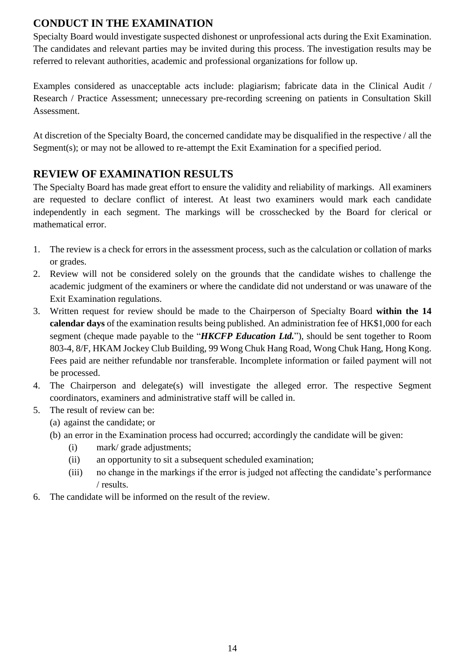# **CONDUCT IN THE EXAMINATION**

Specialty Board would investigate suspected dishonest or unprofessional acts during the Exit Examination. The candidates and relevant parties may be invited during this process. The investigation results may be referred to relevant authorities, academic and professional organizations for follow up.

Examples considered as unacceptable acts include: plagiarism; fabricate data in the Clinical Audit / Research / Practice Assessment; unnecessary pre-recording screening on patients in Consultation Skill Assessment.

At discretion of the Specialty Board, the concerned candidate may be disqualified in the respective / all the Segment(s); or may not be allowed to re-attempt the Exit Examination for a specified period.

# **REVIEW OF EXAMINATION RESULTS**

The Specialty Board has made great effort to ensure the validity and reliability of markings. All examiners are requested to declare conflict of interest. At least two examiners would mark each candidate independently in each segment. The markings will be crosschecked by the Board for clerical or mathematical error.

- 1. The review is a check for errors in the assessment process, such as the calculation or collation of marks or grades.
- 2. Review will not be considered solely on the grounds that the candidate wishes to challenge the academic judgment of the examiners or where the candidate did not understand or was unaware of the Exit Examination regulations.
- 3. Written request for review should be made to the Chairperson of Specialty Board **within the 14 calendar days** of the examination results being published. An administration fee of HK\$1,000 for each segment (cheque made payable to the "*HKCFP Education Ltd.*"), should be sent together to Room 803-4, 8/F, HKAM Jockey Club Building, 99 Wong Chuk Hang Road, Wong Chuk Hang, Hong Kong. Fees paid are neither refundable nor transferable. Incomplete information or failed payment will not be processed.
- 4. The Chairperson and delegate(s) will investigate the alleged error. The respective Segment coordinators, examiners and administrative staff will be called in.
- 5. The result of review can be:
	- (a) against the candidate; or
	- (b) an error in the Examination process had occurred; accordingly the candidate will be given:
		- (i) mark/ grade adjustments;
		- (ii) an opportunity to sit a subsequent scheduled examination;
		- (iii) no change in the markings if the error is judged not affecting the candidate's performance / results.
- 6. The candidate will be informed on the result of the review.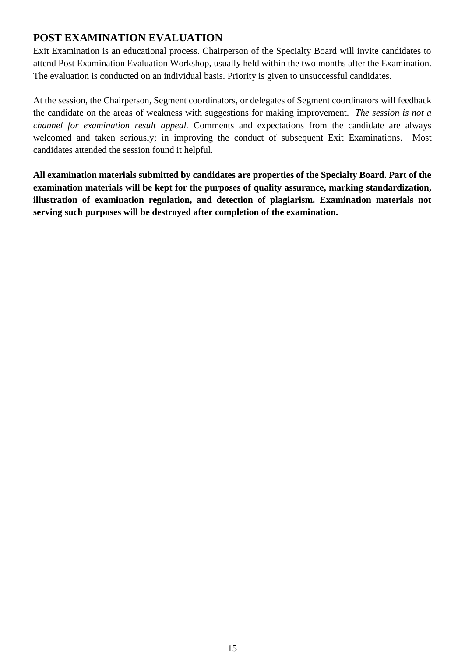# **POST EXAMINATION EVALUATION**

Exit Examination is an educational process. Chairperson of the Specialty Board will invite candidates to attend Post Examination Evaluation Workshop, usually held within the two months after the Examination. The evaluation is conducted on an individual basis. Priority is given to unsuccessful candidates.

At the session, the Chairperson, Segment coordinators, or delegates of Segment coordinators will feedback the candidate on the areas of weakness with suggestions for making improvement. *The session is not a channel for examination result appeal.* Comments and expectations from the candidate are always welcomed and taken seriously; in improving the conduct of subsequent Exit Examinations. Most candidates attended the session found it helpful.

**All examination materials submitted by candidates are properties of the Specialty Board. Part of the examination materials will be kept for the purposes of quality assurance, marking standardization, illustration of examination regulation, and detection of plagiarism. Examination materials not serving such purposes will be destroyed after completion of the examination.**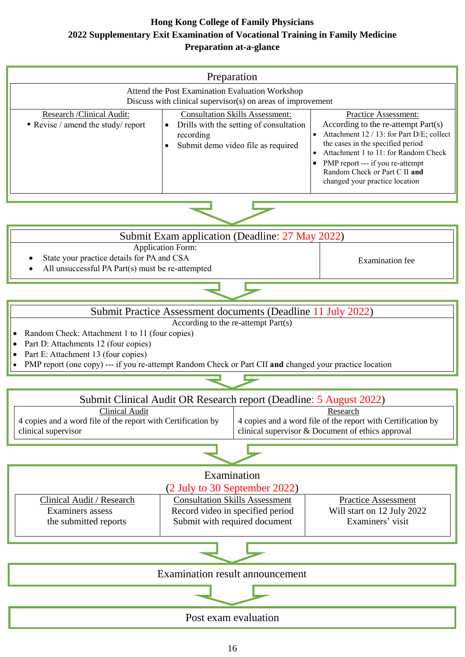## **Hong Kong College of Family Physicians 2022 Supplementary Exit Examination of Vocational Training in Family Medicine Preparation at-a-glance**

| Preparation<br>Attend the Post Examination Evaluation Workshop<br>Discuss with clinical supervisor(s) on areas of improvement |                                                                                                                                                   |                                                                                                                                                                                                                                                                                              |  |  |
|-------------------------------------------------------------------------------------------------------------------------------|---------------------------------------------------------------------------------------------------------------------------------------------------|----------------------------------------------------------------------------------------------------------------------------------------------------------------------------------------------------------------------------------------------------------------------------------------------|--|--|
| Research /Clinical Audit:<br>• Revise / amend the study/ report                                                               | <b>Consultation Skills Assessment:</b><br>Drills with the setting of consultation<br>$\bullet$<br>recording<br>Submit demo video file as required | Practice Assessment:<br>According to the re-attempt Part(s)<br>Attachment 12 / 13: for Part D/E; collect<br>the cases in the specified period<br>Attachment 1 to 11: for Random Check<br>PMP report --- if you re-attempt<br>Random Check or Part C II and<br>changed your practice location |  |  |
|                                                                                                                               |                                                                                                                                                   |                                                                                                                                                                                                                                                                                              |  |  |

| Submit Exam application (Deadline: 27 May 2022)                                                                                |                 |
|--------------------------------------------------------------------------------------------------------------------------------|-----------------|
| <b>Application Form:</b><br>• State your practice details for PA and CSA<br>• All unsuccessful PA Part(s) must be re-attempted | Examination fee |





- Random Check: Attachment 1 to 11 (four copies)
- Part D: Attachments 12 (four copies)
- Part E: Attachment 13 (four copies)
- PMP report (one copy) --- if you re-attempt Random Check or Part CII **and** changed your practice location

Submit Clinical Audit OR Research report (Deadline: 5 August 2022) Clinical Audit 4 copies and a word file of the report with Certification by clinical supervisor Research 4 copies and a word file of the report with Certification by clinical supervisor & Document of ethics approval

# Examination



Post exam evaluation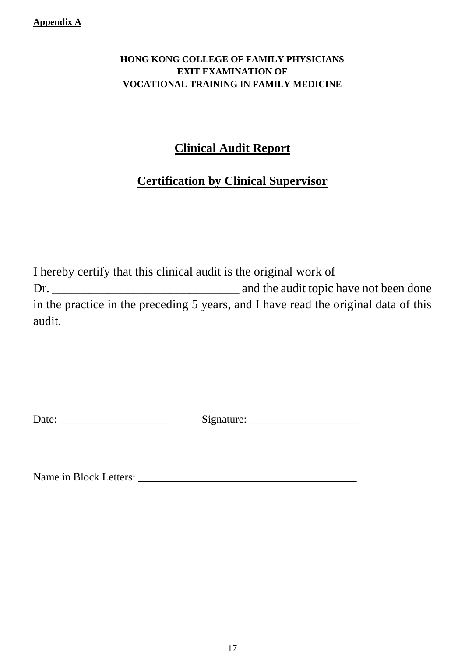#### **Appendix A**

# **HONG KONG COLLEGE OF FAMILY PHYSICIANS EXIT EXAMINATION OF VOCATIONAL TRAINING IN FAMILY MEDICINE**

# **Clinical Audit Report**

# **Certification by Clinical Supervisor**

I hereby certify that this clinical audit is the original work of Dr. \_\_\_\_\_\_\_\_\_\_\_\_\_\_\_\_\_\_\_\_\_\_\_\_\_\_\_\_\_\_ and the audit topic have not been done in the practice in the preceding 5 years, and I have read the original data of this audit.

Date: \_\_\_\_\_\_\_\_\_\_\_\_\_\_\_\_\_\_\_\_ Signature: \_\_\_\_\_\_\_\_\_\_\_\_\_\_\_\_\_\_\_\_

Name in Block Letters: \_\_\_\_\_\_\_\_\_\_\_\_\_\_\_\_\_\_\_\_\_\_\_\_\_\_\_\_\_\_\_\_\_\_\_\_\_\_\_\_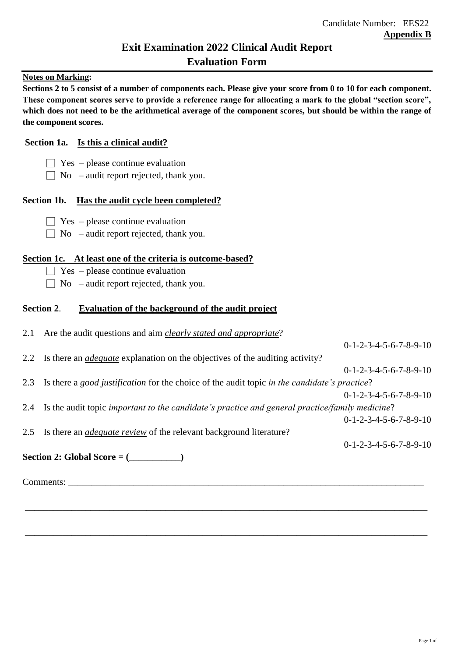# **Exit Examination 2022 Clinical Audit Report Evaluation Form**

#### **Notes on Marking:**

**Sections 2 to 5 consist of a number of components each. Please give your score from 0 to 10 for each component. These component scores serve to provide a reference range for allocating a mark to the global "section score",**  which does not need to be the arithmetical average of the component scores, but should be within the range of **the component scores.**

#### **Section 1a. Is this a clinical audit?**

- $\Box$  Yes please continue evaluation
- $\Box$  No audit report rejected, thank you.

#### **Section 1b. Has the audit cycle been completed?**

- $\Box$  Yes please continue evaluation
- $\Box$  No audit report rejected, thank you.

#### **Section 1c. At least one of the criteria is outcome-based?**

- $\Box$  Yes please continue evaluation
- $\Box$  No audit report rejected, thank you.

#### **Section 2**. **Evaluation of the background of the audit project**

| 2.1 Are the audit questions and aim <i>clearly stated and appropriate</i> ?                                |                          |
|------------------------------------------------------------------------------------------------------------|--------------------------|
|                                                                                                            | $0-1-2-3-4-5-6-7-8-9-10$ |
| 2.2 Is there an <i>adequate</i> explanation on the objectives of the auditing activity?                    |                          |
|                                                                                                            | $0-1-2-3-4-5-6-7-8-9-10$ |
| 2.3 Is there a good justification for the choice of the audit topic in the candidate's practice?           |                          |
|                                                                                                            | $0-1-2-3-4-5-6-7-8-9-10$ |
| 2.4 Is the audit topic <i>important to the candidate's practice and general practice/family medicine</i> ? |                          |
|                                                                                                            | $0-1-2-3-4-5-6-7-8-9-10$ |
| 2.5 Is there an <i>adequate review</i> of the relevant background literature?                              |                          |
|                                                                                                            | $0-1-2-3-4-5-6-7-8-9-10$ |
| Section 2: Global Score = $(\_\_\_\_\_$                                                                    |                          |
|                                                                                                            |                          |
| Comments:                                                                                                  |                          |
|                                                                                                            |                          |
|                                                                                                            |                          |

\_\_\_\_\_\_\_\_\_\_\_\_\_\_\_\_\_\_\_\_\_\_\_\_\_\_\_\_\_\_\_\_\_\_\_\_\_\_\_\_\_\_\_\_\_\_\_\_\_\_\_\_\_\_\_\_\_\_\_\_\_\_\_\_\_\_\_\_\_\_\_\_\_\_\_\_\_\_\_\_\_\_\_\_\_\_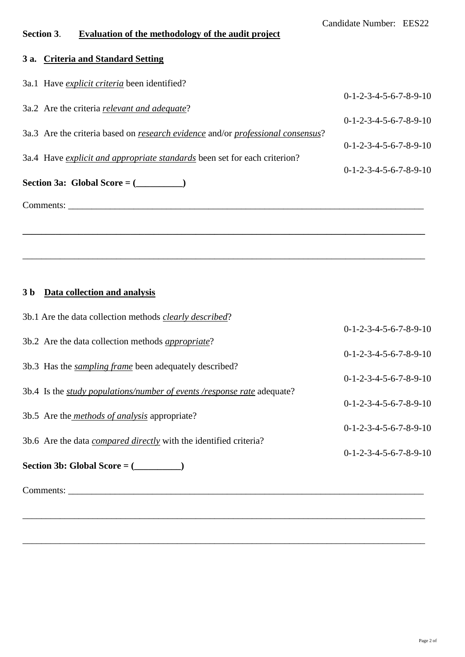# **Section 3**. **Evaluation of the methodology of the audit project**

# **3 a. Criteria and Standard Setting**

| 3a.1 Have <i>explicit criteria</i> been identified?                                           |                          |
|-----------------------------------------------------------------------------------------------|--------------------------|
|                                                                                               | $0-1-2-3-4-5-6-7-8-9-10$ |
| 3a.2 Are the criteria <i>relevant and adequate</i> ?                                          |                          |
|                                                                                               | $0-1-2-3-4-5-6-7-8-9-10$ |
| 3a.3 Are the criteria based on <i>research evidence</i> and/or <i>professional consensus?</i> |                          |
|                                                                                               | $0-1-2-3-4-5-6-7-8-9-10$ |
| 3a.4 Have explicit and appropriate standards been set for each criterion?                     |                          |
|                                                                                               | $0-1-2-3-4-5-6-7-8-9-10$ |
| Section 3a: Global Score = $(\_\_$                                                            |                          |
| Comments:                                                                                     |                          |
|                                                                                               |                          |
|                                                                                               |                          |
|                                                                                               |                          |

\_\_\_\_\_\_\_\_\_\_\_\_\_\_\_\_\_\_\_\_\_\_\_\_\_\_\_\_\_\_\_\_\_\_\_\_\_\_\_\_\_\_\_\_\_\_\_\_\_\_\_\_\_\_\_\_\_\_\_\_\_\_\_\_\_\_\_\_\_\_\_\_\_\_\_\_\_\_\_\_\_\_\_\_\_\_

## **3 b Data collection and analysis**

| 3b.1 Are the data collection methods <i>clearly described</i> ?                |                          |
|--------------------------------------------------------------------------------|--------------------------|
|                                                                                | $0-1-2-3-4-5-6-7-8-9-10$ |
| 3b.2 Are the data collection methods <i>appropriate</i> ?                      |                          |
|                                                                                | $0-1-2-3-4-5-6-7-8-9-10$ |
| 3b.3 Has the <i>sampling frame</i> been adequately described?                  |                          |
|                                                                                | $0-1-2-3-4-5-6-7-8-9-10$ |
| 3b.4 Is the <i>study populations/number of events /response rate</i> adequate? |                          |
|                                                                                | $0-1-2-3-4-5-6-7-8-9-10$ |
| 3b.5 Are the <i>methods of analysis</i> appropriate?                           |                          |
|                                                                                | $0-1-2-3-4-5-6-7-8-9-10$ |
| 3b.6 Are the data <i>compared directly</i> with the identified criteria?       | $0-1-2-3-4-5-6-7-8-9-10$ |
| Section 3b: Global Score = $(\_\_\_\_\_$                                       |                          |
|                                                                                |                          |
| Comments:                                                                      |                          |

\_\_\_\_\_\_\_\_\_\_\_\_\_\_\_\_\_\_\_\_\_\_\_\_\_\_\_\_\_\_\_\_\_\_\_\_\_\_\_\_\_\_\_\_\_\_\_\_\_\_\_\_\_\_\_\_\_\_\_\_\_\_\_\_\_\_\_\_\_\_\_\_\_\_\_\_\_\_\_\_\_\_\_\_\_\_

\_\_\_\_\_\_\_\_\_\_\_\_\_\_\_\_\_\_\_\_\_\_\_\_\_\_\_\_\_\_\_\_\_\_\_\_\_\_\_\_\_\_\_\_\_\_\_\_\_\_\_\_\_\_\_\_\_\_\_\_\_\_\_\_\_\_\_\_\_\_\_\_\_\_\_\_\_\_\_\_\_\_\_\_\_\_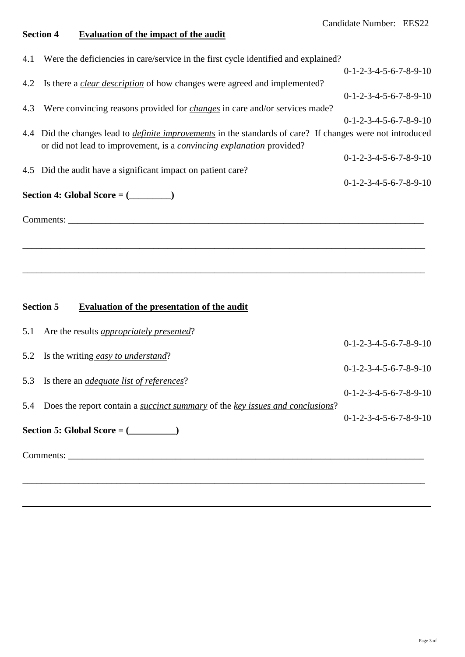# **Section 4 Evaluation of the impact of the audit**

|     | 4.1 Were the deficiencies in care/service in the first cycle identified and explained?                            |                          |
|-----|-------------------------------------------------------------------------------------------------------------------|--------------------------|
|     |                                                                                                                   | $0-1-2-3-4-5-6-7-8-9-10$ |
|     | 4.2 Is there a <i>clear description</i> of how changes were agreed and implemented?                               |                          |
|     |                                                                                                                   | $0-1-2-3-4-5-6-7-8-9-10$ |
| 4.3 | Were convincing reasons provided for <i>changes</i> in care and/or services made?                                 |                          |
|     |                                                                                                                   | $0-1-2-3-4-5-6-7-8-9-10$ |
|     | 4.4 Did the changes lead to <i>definite improvements</i> in the standards of care? If changes were not introduced |                          |
|     | or did not lead to improvement, is a <i>convincing explanation</i> provided?                                      |                          |
|     |                                                                                                                   | $0-1-2-3-4-5-6-7-8-9-10$ |
|     | 4.5 Did the audit have a significant impact on patient care?                                                      |                          |
|     |                                                                                                                   | $0-1-2-3-4-5-6-7-8-9-10$ |
|     | Section 4: Global Score = $(\_\_ \_ \)$                                                                           |                          |
|     |                                                                                                                   |                          |
|     | Comments:                                                                                                         |                          |
|     |                                                                                                                   |                          |
|     |                                                                                                                   |                          |
|     |                                                                                                                   |                          |

\_\_\_\_\_\_\_\_\_\_\_\_\_\_\_\_\_\_\_\_\_\_\_\_\_\_\_\_\_\_\_\_\_\_\_\_\_\_\_\_\_\_\_\_\_\_\_\_\_\_\_\_\_\_\_\_\_\_\_\_\_\_\_\_\_\_\_\_\_\_\_\_\_\_\_\_\_\_\_\_\_\_\_\_\_\_

# **Section 5 Evaluation of the presentation of the audit**

|     | 5.1 Are the results <i>appropriately presented</i> ?                                 |                          |
|-----|--------------------------------------------------------------------------------------|--------------------------|
|     |                                                                                      | $0-1-2-3-4-5-6-7-8-9-10$ |
|     | 5.2 Is the writing easy to understand?                                               |                          |
|     |                                                                                      | $0-1-2-3-4-5-6-7-8-9-10$ |
|     | 5.3 Is there an <i>adequate list of references</i> ?                                 |                          |
|     |                                                                                      | $0-1-2-3-4-5-6-7-8-9-10$ |
| 5.4 | Does the report contain a <i>succinct summary</i> of the key issues and conclusions? |                          |
|     |                                                                                      | $0-1-2-3-4-5-6-7-8-9-10$ |
|     | Section 5: Global Score = $(\_\_ \_ \_ )$                                            |                          |
|     |                                                                                      |                          |
|     | Comments:                                                                            |                          |
|     |                                                                                      |                          |
|     |                                                                                      |                          |
|     |                                                                                      |                          |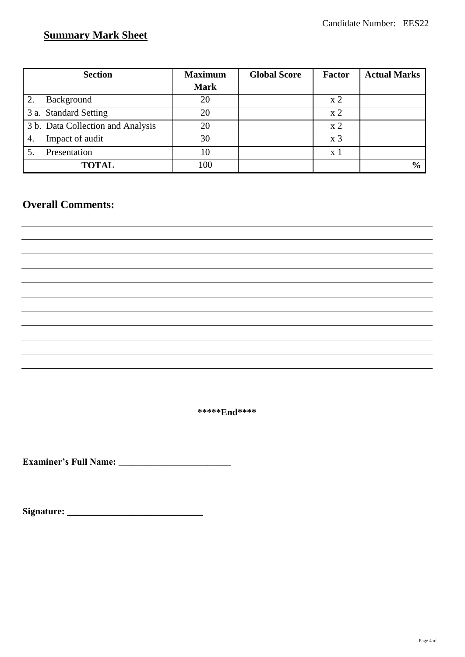# **Summary Mark Sheet**

| <b>Section</b>                    | <b>Maximum</b> | <b>Global Score</b> | <b>Factor</b>      | <b>Actual Marks</b> |
|-----------------------------------|----------------|---------------------|--------------------|---------------------|
|                                   | <b>Mark</b>    |                     |                    |                     |
| Background                        | 20             |                     | x <sub>2</sub>     |                     |
| 3 a. Standard Setting             | 20             |                     | $\rm x2$           |                     |
| 3 b. Data Collection and Analysis | 20             |                     | x <sub>2</sub>     |                     |
| Impact of audit<br>4.             | 30             |                     | $\boldsymbol{x}$ 3 |                     |
| Presentation                      | 10             |                     | x 1                |                     |
| <b>TOTAL</b>                      | 100            |                     |                    | $\frac{0}{0}$       |

# **Overall Comments:**

**\*\*\*\*\*End\*\*\*\***

**Examiner's Full Name:** \_\_\_\_\_\_\_\_\_\_\_\_\_\_\_\_\_\_\_\_\_\_\_\_

**Signature:** \_\_\_\_\_\_\_\_\_\_\_\_\_\_\_\_\_\_\_\_\_\_\_\_\_\_\_\_\_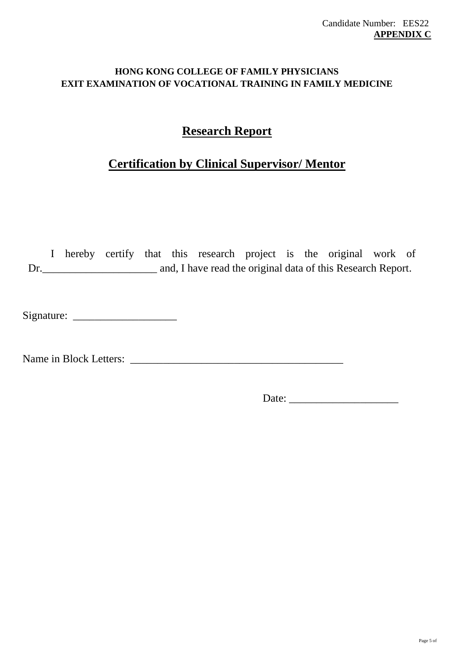## **HONG KONG COLLEGE OF FAMILY PHYSICIANS EXIT EXAMINATION OF VOCATIONAL TRAINING IN FAMILY MEDICINE**

# **Research Report**

# **Certification by Clinical Supervisor/ Mentor**

I hereby certify that this research project is the original work of Dr.\_\_\_\_\_\_\_\_\_\_\_\_\_\_\_\_\_\_\_\_\_ and, I have read the original data of this Research Report.

Signature: \_\_\_\_\_\_\_\_\_\_\_\_\_\_\_\_\_\_\_

Name in Block Letters: \_\_\_\_\_\_\_\_\_\_\_\_\_\_\_\_\_\_\_\_\_\_\_\_\_\_\_\_\_\_\_\_\_\_\_\_\_\_\_

Date: \_\_\_\_\_\_\_\_\_\_\_\_\_\_\_\_\_\_\_\_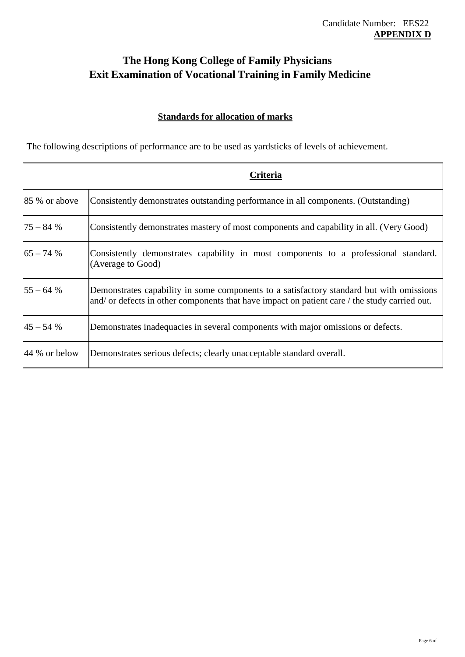# **The Hong Kong College of Family Physicians Exit Examination of Vocational Training in Family Medicine**

## **Standards for allocation of marks**

The following descriptions of performance are to be used as yardsticks of levels of achievement.

|               | Criteria                                                                                                                                                                                  |
|---------------|-------------------------------------------------------------------------------------------------------------------------------------------------------------------------------------------|
| 85 % or above | Consistently demonstrates outstanding performance in all components. (Outstanding)                                                                                                        |
| $75 - 84%$    | Consistently demonstrates mastery of most components and capability in all. (Very Good)                                                                                                   |
| $65 - 74%$    | Consistently demonstrates capability in most components to a professional standard.<br>(Average to Good)                                                                                  |
| $55 - 64%$    | Demonstrates capability in some components to a satisfactory standard but with omissions<br>and/ or defects in other components that have impact on patient care / the study carried out. |
| $45 - 54%$    | Demonstrates inadequacies in several components with major omissions or defects.                                                                                                          |
| 44 % or below | Demonstrates serious defects; clearly unacceptable standard overall.                                                                                                                      |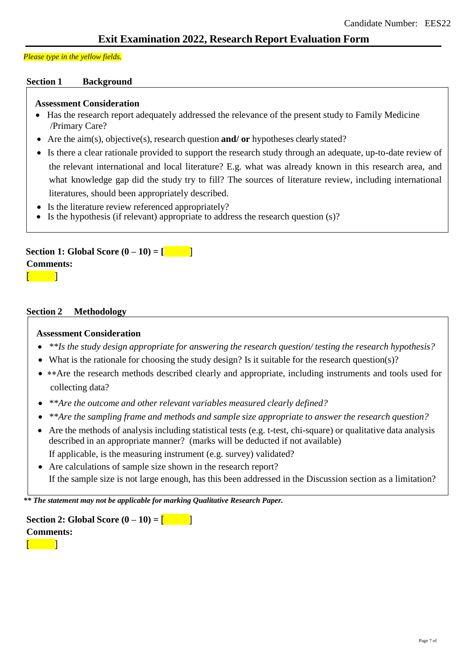#### *Please type in the yellow fields.*

#### **Section 1 Background**

#### **Assessment Consideration**

- Has the research report adequately addressed the relevance of the present study to Family Medicine /Primary Care?
- Are the aim(s), objective(s), research question **and/ or** hypotheses clearly stated?
- Is there a clear rationale provided to support the research study through an adequate, up-to-date review of the relevant international and local literature? E.g. what was already known in this research area, and what knowledge gap did the study try to fill? The sources of literature review, including international literatures, should been appropriately described.
- Is the literature review referenced appropriately?
- Is the hypothesis (if relevant) appropriate to address the research question (s)?

#### **Section 1: Global Score**  $(0-10) = \begin{bmatrix} 1 & 1 \\ 1 & 1 \end{bmatrix}$ **Comments:**  $\sqrt{ }$

#### **Section 2 Methodology**

#### **Assessment Consideration**

- *\*\*Is the study design appropriate for answering the research question/ testing the research hypothesis?*
- What is the rationale for choosing the study design? Is it suitable for the research question(s)?
- \*\* Are the research methods described clearly and appropriate, including instruments and tools used for collecting data?
- *\*\*Are the outcome and other relevant variables measured clearly defined?*
- *\*\*Are the sampling frame and methods and sample size appropriate to answer the research question?*
- Are the methods of analysis including statistical tests (e.g. t-test, chi-square) or qualitative data analysis described in an appropriate manner? (marks will be deducted if not available) If applicable, is the measuring instrument (e.g. survey) validated?
- Are calculations of sample size shown in the research report? If the sample size is not large enough, has this been addressed in the Discussion section as a limitation?

*\*\* The statement may not be applicable for marking Qualitative Research Paper.*



 $\blacksquare$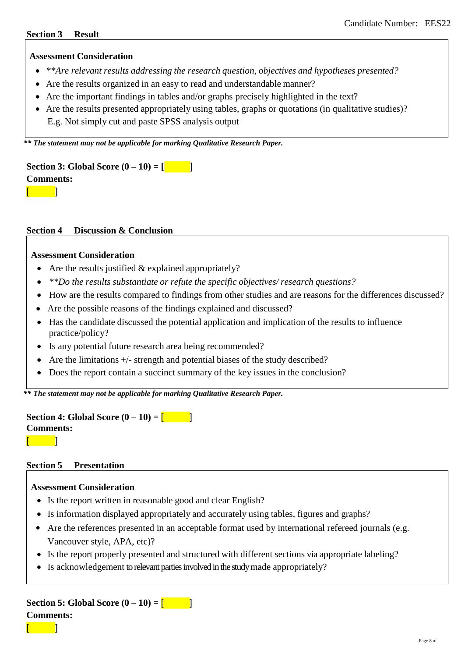#### **Section 3 Result**

#### **Assessment Consideration**

- *\*\*Are relevant results addressing the research question, objectives and hypotheses presented?*
- Are the results organized in an easy to read and understandable manner?
- Are the important findings in tables and/or graphs precisely highlighted in the text?
- Are the results presented appropriately using tables, graphs or quotations (in qualitative studies)? E.g. Not simply cut and paste SPSS analysis output

*\*\* The statement may not be applicable for marking Qualitative Research Paper.*

**Section** 3: **Global Score**  $(0 - 10) = [$ **Comments:**  $\blacksquare$ 

#### **Section 4 Discussion & Conclusion**

#### **Assessment Consideration**

- Are the results justified  $&$  explained appropriately?
- *\*\*Do the results substantiate or refute the specific objectives/ research questions?*
- How are the results compared to findings from other studies and are reasons for the differences discussed?
- Are the possible reasons of the findings explained and discussed?
- Has the candidate discussed the potential application and implication of the results to influence practice/policy?
- Is any potential future research area being recommended?
- Are the limitations  $+\prime$  strength and potential biases of the study described?
- Does the report contain a succinct summary of the key issues in the conclusion?

*\*\* The statement may not be applicable for marking Qualitative Research Paper.*

#### **Section 4: Global Score**  $(0 - 10) =$   $\begin{bmatrix} 1 & 1 \\ 1 & 1 \end{bmatrix}$ **Comments:**  $\blacksquare$

#### **Section 5 Presentation**

#### **Assessment Consideration**

- Is the report written in reasonable good and clear English?
- Is information displayed appropriately and accurately using tables, figures and graphs?
- Are the references presented in an acceptable format used by international refereed journals (e.g. Vancouver style, APA, etc)?
- Is the report properly presented and structured with different sections via appropriate labeling?
- Is acknowledgement to relevant parties involved in the study made appropriately?

# **Section 5: Global Score**  $(0 - 10) = 1$

**Comments:**

 $\begin{bmatrix} 1 & 1 \\ 1 & 1 \end{bmatrix}$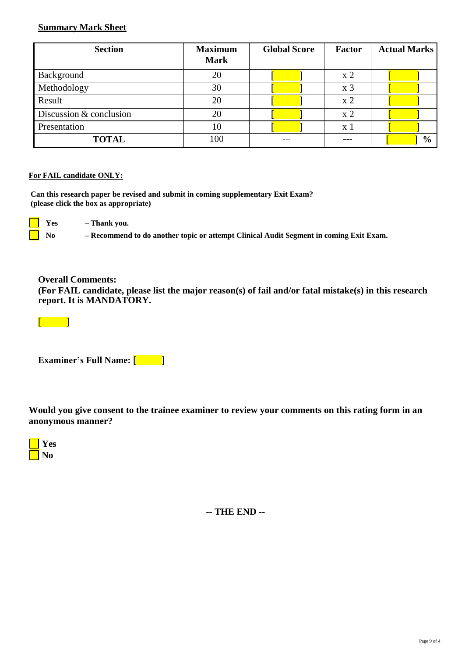#### **Summary Mark Sheet**

| <b>Section</b>          | <b>Maximum</b><br><b>Mark</b> | <b>Global Score</b> | Factor         | <b>Actual Marks</b> |
|-------------------------|-------------------------------|---------------------|----------------|---------------------|
| Background              | 20                            |                     | x <sub>2</sub> |                     |
| Methodology             | 30                            |                     | x <sub>3</sub> |                     |
| Result                  | 20                            |                     | $\rm x2$       |                     |
| Discussion & conclusion | 20                            |                     | x <sub>2</sub> |                     |
| Presentation            | 10                            |                     | x 1            |                     |
| <b>TOTAL</b>            | 100                           |                     | ---            | $\frac{0}{0}$       |

#### **For FAIL candidate ONLY:**

**Can this research paper be revised and submit in coming supplementary Exit Exam? (please click the box as appropriate)**

**Yes – Thank you.**

 **No – Recommend to do another topic or attempt Clinical Audit Segment in coming Exit Exam.**

**Overall Comments:**

**(For FAIL candidate, please list the major reason(s) of fail and/or fatal mistake(s) in this research report. It is MANDATORY.**

 $[$ 

**Examiner's Full Name:**  $\begin{bmatrix} 1 & 1 \\ 1 & 1 \end{bmatrix}$ 

**Would you give consent to the trainee examiner to review your comments on this rating form in an anonymous manner?**



**-- THE END --**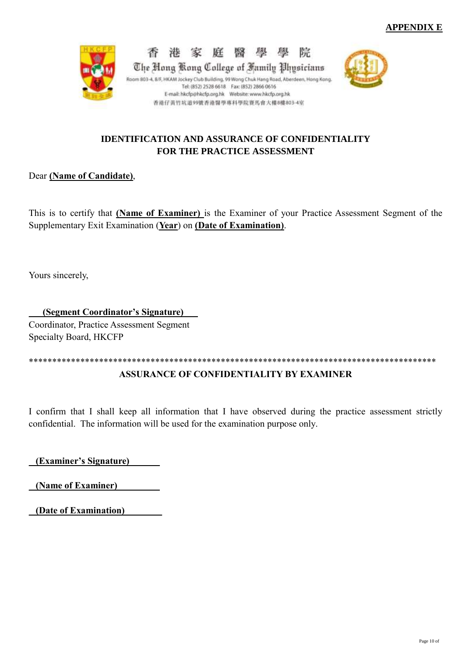

#### **IDENTIFICATION AND ASSURANCE OF CONFIDENTIALITY FOR THE PRACTICE ASSESSMENT**

### Dear **(Name of Candidate)**,

This is to certify that **(Name of Examiner)** is the Examiner of your Practice Assessment Segment of the Supplementary Exit Examination (**Year**) on **(Date of Examination)**.

Yours sincerely,

\_\_**\_(Segment Coordinator's Signature)**\_\_\_ Coordinator, Practice Assessment Segment Specialty Board, HKCFP

\*\*\*\*\*\*\*\*\*\*\*\*\*\*\*\*\*\*\*\*\*\*\*\*\*\*\*\*\*\*\*\*\*\*\*\*\*\*\*\*\*\*\*\*\*\*\*\*\*\*\*\*\*\*\*\*\*\*\*\*\*\*\*\*\*\*\*\*\*\*\*\*\*\*\*\*\*\*\*\*\*\*\*\*\*\*\*

### **ASSURANCE OF CONFIDENTIALITY BY EXAMINER**

I confirm that I shall keep all information that I have observed during the practice assessment strictly confidential. The information will be used for the examination purpose only.

\_ **(Examiner's Signature)\_ \_\_\_\_** 

\_ **(Name of Examiner)\_\_\_\_\_\_\_\_\_** 

\_ **(Date of Examination)\_\_\_\_\_\_\_\_**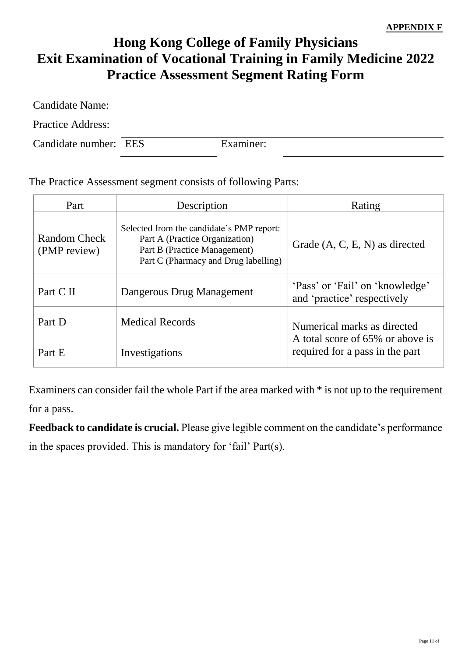# **Hong Kong College of Family Physicians Exit Examination of Vocational Training in Family Medicine 2022 Practice Assessment Segment Rating Form**

| <b>Candidate Name:</b>   |           |
|--------------------------|-----------|
| <b>Practice Address:</b> |           |
| Candidate number: EES    | Examiner: |

The Practice Assessment segment consists of following Parts:

| Part                         | Description                                                                                                                                         | Rating                                                              |  |  |  |  |
|------------------------------|-----------------------------------------------------------------------------------------------------------------------------------------------------|---------------------------------------------------------------------|--|--|--|--|
| Random Check<br>(PMP review) | Selected from the candidate's PMP report:<br>Part A (Practice Organization)<br>Part B (Practice Management)<br>Part C (Pharmacy and Drug labelling) | Grade $(A, C, E, N)$ as directed                                    |  |  |  |  |
| Part C II                    | Dangerous Drug Management                                                                                                                           | 'Pass' or 'Fail' on 'knowledge'<br>and 'practice' respectively      |  |  |  |  |
| Part D                       | <b>Medical Records</b>                                                                                                                              | Numerical marks as directed                                         |  |  |  |  |
| Part E                       | Investigations                                                                                                                                      | A total score of 65% or above is<br>required for a pass in the part |  |  |  |  |

Examiners can consider fail the whole Part if the area marked with \* is not up to the requirement for a pass.

**Feedback to candidate is crucial.** Please give legible comment on the candidate's performance in the spaces provided. This is mandatory for 'fail' Part(s).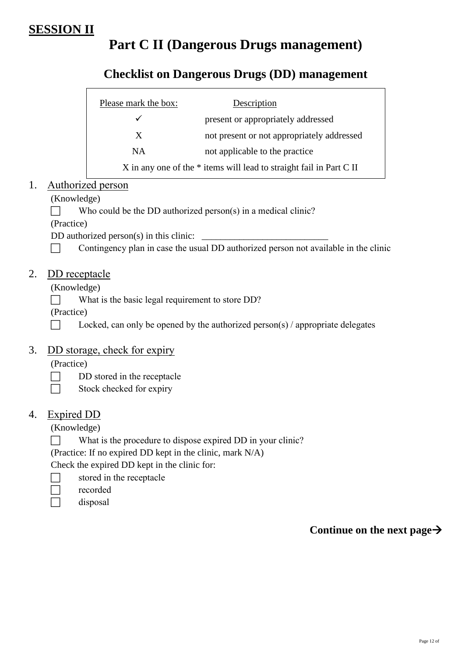# **SESSION II**

# **Part C II (Dangerous Drugs management)**

# **Checklist on Dangerous Drugs (DD) management**

| Please mark the box: | Description                                                         |
|----------------------|---------------------------------------------------------------------|
|                      | present or appropriately addressed                                  |
| X                    | not present or not appropriately addressed                          |
| <b>NA</b>            | not applicable to the practice                                      |
|                      | X in any one of the * items will lead to straight fail in Part C II |

# 1. Authorized person

#### (Knowledge)

Who could be the DD authorized person(s) in a medical clinic?

(Practice)

DD authorized person $(s)$  in this clinic:

 $\Box$  Contingency plan in case the usual DD authorized person not available in the clinic

# 2. DD receptacle

(Knowledge)

What is the basic legal requirement to store  $DD$ ?

(Practice)

 $\Box$  Locked, can only be opened by the authorized person(s) / appropriate delegates

## 3. DD storage, check for expiry

(Practice)

- $\Box$  DD stored in the receptacle
- $\Box$  Stock checked for expiry

## 4. Expired DD

(Knowledge)

What is the procedure to dispose expired DD in your clinic?

(Practice: If no expired DD kept in the clinic, mark N/A)

Check the expired DD kept in the clinic for:

- $\Box$  stored in the receptacle
- □ recorded
- $\Box$  disposal

**Continue on the next page**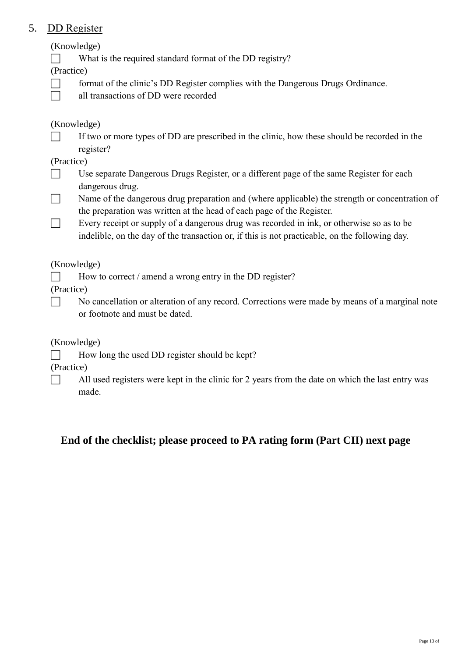# 5. DD Register

(Knowledge)

What is the required standard format of the DD registry?

(Practice)

- $\Box$  format of the clinic's DD Register complies with the Dangerous Drugs Ordinance.
- all transactions of DD were recorded

# (Knowledge)

 $\Box$  If two or more types of DD are prescribed in the clinic, how these should be recorded in the register?

## (Practice)

- Use separate Dangerous Drugs Register, or a different page of the same Register for each dangerous drug.
- $\Box$  Name of the dangerous drug preparation and (where applicable) the strength or concentration of the preparation was written at the head of each page of the Register.
- Every receipt or supply of a dangerous drug was recorded in ink, or otherwise so as to be indelible, on the day of the transaction or, if this is not practicable, on the following day.

## (Knowledge)

 $\Box$  How to correct / amend a wrong entry in the DD register?

(Practice)

 $\Box$  No cancellation or alteration of any record. Corrections were made by means of a marginal note or footnote and must be dated.

(Knowledge)

 $\Box$  How long the used DD register should be kept?

(Practice)

 $\Box$  All used registers were kept in the clinic for 2 years from the date on which the last entry was made.

# **End of the checklist; please proceed to PA rating form (Part CII) next page**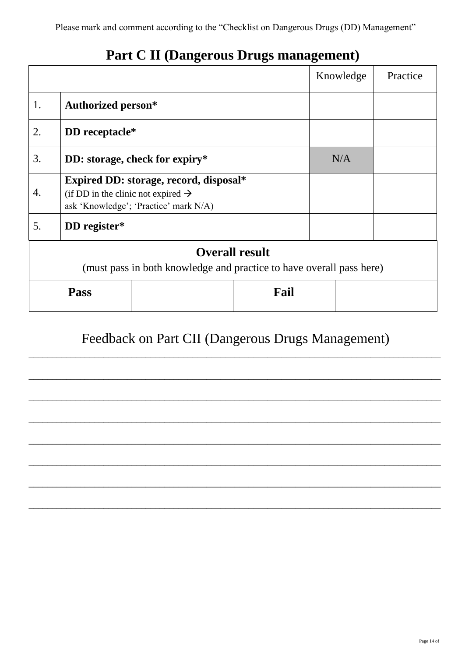# **Part C II (Dangerous Drugs management)**

|                                                                                               |                                                                                                                                   |     |      | Knowledge | Practice |  |  |  |
|-----------------------------------------------------------------------------------------------|-----------------------------------------------------------------------------------------------------------------------------------|-----|------|-----------|----------|--|--|--|
| 1.                                                                                            | <b>Authorized person*</b>                                                                                                         |     |      |           |          |  |  |  |
| 2.                                                                                            | DD receptacle*                                                                                                                    |     |      |           |          |  |  |  |
| 3.                                                                                            | DD: storage, check for expiry*                                                                                                    | N/A |      |           |          |  |  |  |
| 4.                                                                                            | Expired DD: storage, record, disposal*<br>(if DD in the clinic not expired $\rightarrow$<br>ask 'Knowledge'; 'Practice' mark N/A) |     |      |           |          |  |  |  |
| 5.                                                                                            | DD register*                                                                                                                      |     |      |           |          |  |  |  |
| <b>Overall result</b><br>(must pass in both knowledge and practice to have overall pass here) |                                                                                                                                   |     |      |           |          |  |  |  |
|                                                                                               | <b>Pass</b>                                                                                                                       |     | Fail |           |          |  |  |  |

# Feedback on Part CII (Dangerous Drugs Management)

\_\_\_\_\_\_\_\_\_\_\_\_\_\_\_\_\_\_\_\_\_\_\_\_\_\_\_\_\_\_\_\_\_\_\_\_\_\_\_\_\_\_\_\_\_\_\_\_\_\_\_\_\_\_\_\_\_\_\_\_\_\_\_\_\_\_\_\_\_\_\_\_\_\_\_\_\_\_\_\_\_\_\_\_\_\_\_\_

\_\_\_\_\_\_\_\_\_\_\_\_\_\_\_\_\_\_\_\_\_\_\_\_\_\_\_\_\_\_\_\_\_\_\_\_\_\_\_\_\_\_\_\_\_\_\_\_\_\_\_\_\_\_\_\_\_\_\_\_\_\_\_\_\_\_\_\_\_\_\_\_\_\_\_\_\_\_\_\_\_\_\_\_\_\_\_\_

\_\_\_\_\_\_\_\_\_\_\_\_\_\_\_\_\_\_\_\_\_\_\_\_\_\_\_\_\_\_\_\_\_\_\_\_\_\_\_\_\_\_\_\_\_\_\_\_\_\_\_\_\_\_\_\_\_\_\_\_\_\_\_\_\_\_\_\_\_\_\_\_\_\_\_\_\_\_\_\_\_\_\_\_\_\_\_\_

\_\_\_\_\_\_\_\_\_\_\_\_\_\_\_\_\_\_\_\_\_\_\_\_\_\_\_\_\_\_\_\_\_\_\_\_\_\_\_\_\_\_\_\_\_\_\_\_\_\_\_\_\_\_\_\_\_\_\_\_\_\_\_\_\_\_\_\_\_\_\_\_\_\_\_\_\_\_\_\_\_\_\_\_\_\_\_\_

\_\_\_\_\_\_\_\_\_\_\_\_\_\_\_\_\_\_\_\_\_\_\_\_\_\_\_\_\_\_\_\_\_\_\_\_\_\_\_\_\_\_\_\_\_\_\_\_\_\_\_\_\_\_\_\_\_\_\_\_\_\_\_\_\_\_\_\_\_\_\_\_\_\_\_\_\_\_\_\_\_\_\_\_\_\_\_\_

\_\_\_\_\_\_\_\_\_\_\_\_\_\_\_\_\_\_\_\_\_\_\_\_\_\_\_\_\_\_\_\_\_\_\_\_\_\_\_\_\_\_\_\_\_\_\_\_\_\_\_\_\_\_\_\_\_\_\_\_\_\_\_\_\_\_\_\_\_\_\_\_\_\_\_\_\_\_\_\_\_\_\_\_\_\_\_\_

\_\_\_\_\_\_\_\_\_\_\_\_\_\_\_\_\_\_\_\_\_\_\_\_\_\_\_\_\_\_\_\_\_\_\_\_\_\_\_\_\_\_\_\_\_\_\_\_\_\_\_\_\_\_\_\_\_\_\_\_\_\_\_\_\_\_\_\_\_\_\_\_\_\_\_\_\_\_\_\_\_\_\_\_\_\_\_\_

\_\_\_\_\_\_\_\_\_\_\_\_\_\_\_\_\_\_\_\_\_\_\_\_\_\_\_\_\_\_\_\_\_\_\_\_\_\_\_\_\_\_\_\_\_\_\_\_\_\_\_\_\_\_\_\_\_\_\_\_\_\_\_\_\_\_\_\_\_\_\_\_\_\_\_\_\_\_\_\_\_\_\_\_\_\_\_\_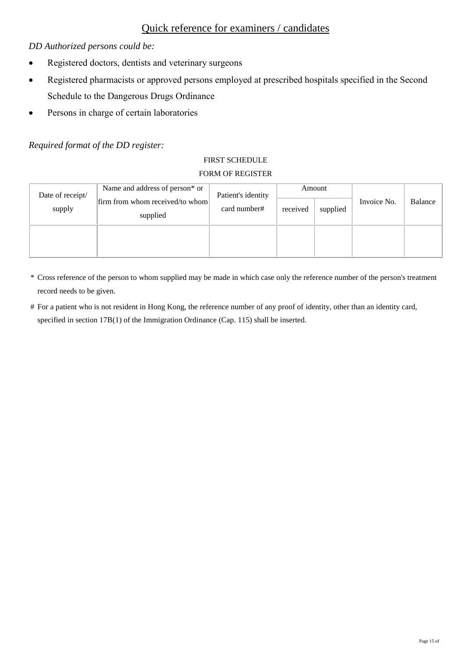# Quick reference for examiners / candidates

#### *DD Authorized persons could be:*

- Registered doctors, dentists and veterinary surgeons
- Registered pharmacists or approved persons employed at prescribed hospitals specified in the Second Schedule to the Dangerous Drugs Ordinance
- Persons in charge of certain laboratories

#### *Required format of the DD register:*

#### FIRST SCHEDULE FORM OF REGISTER

| Date of receipt/ | Name and address of person* or<br>firm from whom received/to whom | Patient's identity<br>card number# | Amount   |          | Invoice No. | Balance |
|------------------|-------------------------------------------------------------------|------------------------------------|----------|----------|-------------|---------|
| supply           | supplied                                                          |                                    | received | supplied |             |         |
|                  |                                                                   |                                    |          |          |             |         |

- \* Cross reference of the person to whom supplied may be made in which case only the reference number of the person's treatment record needs to be given.
- # For a patient who is not resident in Hong Kong, the reference number of any proof of identity, other than an identity card, specified in section 17B(1) of the Immigration Ordinance (Cap. 115) shall be inserted.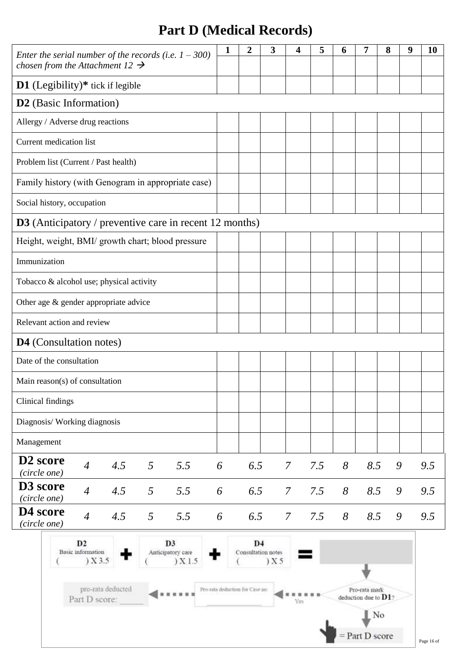# **Part D (Medical Records)**

| Enter the serial number of the records (i.e. $1 - 300$ )<br>chosen from the Attachment 12 $\rightarrow$                  | 1                                                                                                                                          | 2                                    | 3     | 4               | 5   | 6 | 7   | 8 | 9 | <b>10</b> |
|--------------------------------------------------------------------------------------------------------------------------|--------------------------------------------------------------------------------------------------------------------------------------------|--------------------------------------|-------|-----------------|-----|---|-----|---|---|-----------|
| <b>D1</b> (Legibility) $*$ tick if legible                                                                               |                                                                                                                                            |                                      |       |                 |     |   |     |   |   |           |
| <b>D2</b> (Basic Information)                                                                                            |                                                                                                                                            |                                      |       |                 |     |   |     |   |   |           |
| Allergy / Adverse drug reactions                                                                                         |                                                                                                                                            |                                      |       |                 |     |   |     |   |   |           |
| Current medication list                                                                                                  |                                                                                                                                            |                                      |       |                 |     |   |     |   |   |           |
| Problem list (Current / Past health)                                                                                     |                                                                                                                                            |                                      |       |                 |     |   |     |   |   |           |
| Family history (with Genogram in appropriate case)                                                                       |                                                                                                                                            |                                      |       |                 |     |   |     |   |   |           |
| Social history, occupation                                                                                               |                                                                                                                                            |                                      |       |                 |     |   |     |   |   |           |
| <b>D3</b> (Anticipatory / preventive care in recent 12 months)                                                           |                                                                                                                                            |                                      |       |                 |     |   |     |   |   |           |
| Height, weight, BMI/ growth chart; blood pressure                                                                        |                                                                                                                                            |                                      |       |                 |     |   |     |   |   |           |
| Immunization                                                                                                             |                                                                                                                                            |                                      |       |                 |     |   |     |   |   |           |
| Tobacco & alcohol use; physical activity                                                                                 |                                                                                                                                            |                                      |       |                 |     |   |     |   |   |           |
| Other age & gender appropriate advice                                                                                    |                                                                                                                                            |                                      |       |                 |     |   |     |   |   |           |
| Relevant action and review                                                                                               |                                                                                                                                            |                                      |       |                 |     |   |     |   |   |           |
| <b>D4</b> (Consultation notes)                                                                                           |                                                                                                                                            |                                      |       |                 |     |   |     |   |   |           |
| Date of the consultation                                                                                                 |                                                                                                                                            |                                      |       |                 |     |   |     |   |   |           |
| Main reason(s) of consultation                                                                                           |                                                                                                                                            |                                      |       |                 |     |   |     |   |   |           |
| Clinical findings                                                                                                        |                                                                                                                                            |                                      |       |                 |     |   |     |   |   |           |
| Diagnosis/ Working diagnosis                                                                                             |                                                                                                                                            |                                      |       |                 |     |   |     |   |   |           |
| Management                                                                                                               |                                                                                                                                            |                                      |       |                 |     |   |     |   |   |           |
| D <sub>2</sub> score<br>$\overline{4}$<br>4.5<br>5.5<br>5<br>(circle one)                                                | 6                                                                                                                                          | 6.5                                  |       | $\mathcal{I}$   | 7.5 | 8 | 8.5 |   | 9 | 9.5       |
| D <sub>3</sub> score<br>$\overline{4}$<br>4.5<br>5<br>5.5<br>(circle one)                                                | 6                                                                                                                                          | 6.5                                  |       | $\mathcal{I}$   | 7.5 | 8 | 8.5 |   | 9 | 9.5       |
| D <sub>4</sub> score<br>$\overline{4}$<br>4.5<br>$5\overline{)}$<br>5.5<br>(circle one)                                  | 6                                                                                                                                          | 6.5                                  |       | $7\overline{ }$ | 7.5 | 8 | 8.5 |   | 9 | 9.5       |
| D2<br>D <sub>3</sub><br><b>Basic</b> information<br>Anticipatory care<br>$)$ X 3.5<br>$)$ X 1.5<br>pro-rata deducted<br> |                                                                                                                                            | D <sub>4</sub><br>Consultation notes | ) X 5 |                 |     |   |     |   |   |           |
|                                                                                                                          | Pro-rata deduction for Case no<br>Pro-rata mark<br>deduction due to $D1$ ?<br>Part D score:<br>Yes<br>$\mathbb{N}^{\circ}$<br>Part D score |                                      |       |                 |     |   |     |   |   |           |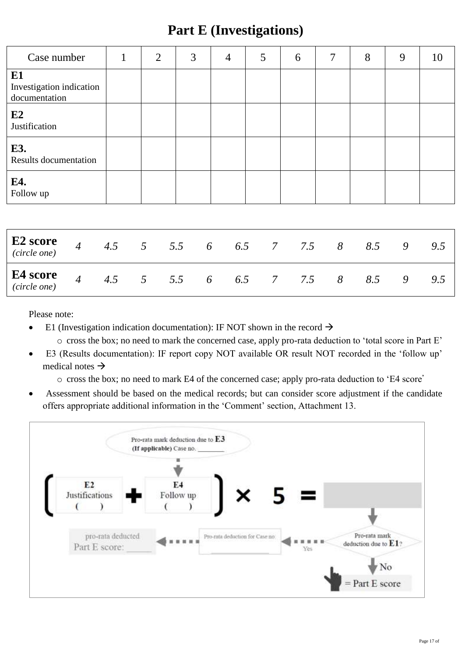# **Part E (Investigations)**

| Case number                                            | $\mathbf{1}$ | $\overline{2}$ | 3           | $\overline{4}$ | 5   | 6                 | 7 | 8   | 9 | 10  |
|--------------------------------------------------------|--------------|----------------|-------------|----------------|-----|-------------------|---|-----|---|-----|
| E1<br>Investigation indication<br>documentation        |              |                |             |                |     |                   |   |     |   |     |
| E2<br>Justification                                    |              |                |             |                |     |                   |   |     |   |     |
| E3.<br><b>Results documentation</b>                    |              |                |             |                |     |                   |   |     |   |     |
| E4.<br>Follow up                                       |              |                |             |                |     |                   |   |     |   |     |
|                                                        |              |                |             |                |     |                   |   |     |   |     |
| E <sub>2</sub> score<br>$\overline{4}$<br>(circle one) |              |                | 4.5 5 5.5 6 |                |     | 6.5 7 7.5 8       |   | 8.5 | 9 | 9.5 |
| E4 score<br>$\overline{4}$<br>(circle one)             |              | 4.5 $5 \t 5.5$ |             | 6              | 6.5 | $7\degree$<br>7.5 | 8 | 8.5 | 9 | 9.5 |

Please note:

- E1 (Investigation indication documentation): IF NOT shown in the record  $\rightarrow$ 
	- o cross the box; no need to mark the concerned case, apply pro-rata deduction to 'total score in Part E'
- E3 (Results documentation): IF report copy NOT available OR result NOT recorded in the 'follow up' medical notes  $\rightarrow$ 
	- o cross the box; no need to mark E4 of the concerned case; apply pro-rata deduction to 'E4 score'
- Assessment should be based on the medical records; but can consider score adjustment if the candidate offers appropriate additional information in the 'Comment' section, Attachment 13.

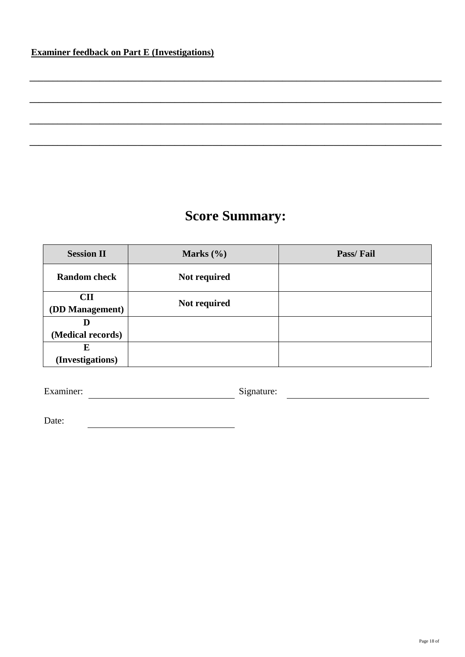# **Score Summary:**

**\_\_\_\_\_\_\_\_\_\_\_\_\_\_\_\_\_\_\_\_\_\_\_\_\_\_\_\_\_\_\_\_\_\_\_\_\_\_\_\_\_\_\_\_\_\_\_\_\_\_\_\_\_\_\_\_\_\_\_\_\_\_\_\_\_\_\_\_\_\_\_\_\_\_\_\_\_\_\_\_\_\_\_\_\_\_\_\_**

**\_\_\_\_\_\_\_\_\_\_\_\_\_\_\_\_\_\_\_\_\_\_\_\_\_\_\_\_\_\_\_\_\_\_\_\_\_\_\_\_\_\_\_\_\_\_\_\_\_\_\_\_\_\_\_\_\_\_\_\_\_\_\_\_\_\_\_\_\_\_\_\_\_\_\_\_\_\_\_\_\_\_\_\_\_\_\_\_**

**\_\_\_\_\_\_\_\_\_\_\_\_\_\_\_\_\_\_\_\_\_\_\_\_\_\_\_\_\_\_\_\_\_\_\_\_\_\_\_\_\_\_\_\_\_\_\_\_\_\_\_\_\_\_\_\_\_\_\_\_\_\_\_\_\_\_\_\_\_\_\_\_\_\_\_\_\_\_\_\_\_\_\_\_\_\_\_\_**

**\_\_\_\_\_\_\_\_\_\_\_\_\_\_\_\_\_\_\_\_\_\_\_\_\_\_\_\_\_\_\_\_\_\_\_\_\_\_\_\_\_\_\_\_\_\_\_\_\_\_\_\_\_\_\_\_\_\_\_\_\_\_\_\_\_\_\_\_\_\_\_\_\_\_\_\_\_\_\_\_\_\_\_\_\_\_\_\_**

| <b>Session II</b>      | Marks $(\% )$ | Pass/Fail |
|------------------------|---------------|-----------|
| <b>Random</b> check    | Not required  |           |
| <b>CII</b>             | Not required  |           |
| <b>(DD Management)</b> |               |           |
| D                      |               |           |
| (Medical records)      |               |           |
| E                      |               |           |
| (Investigations)       |               |           |

Examiner: Signature: Signature:

Date: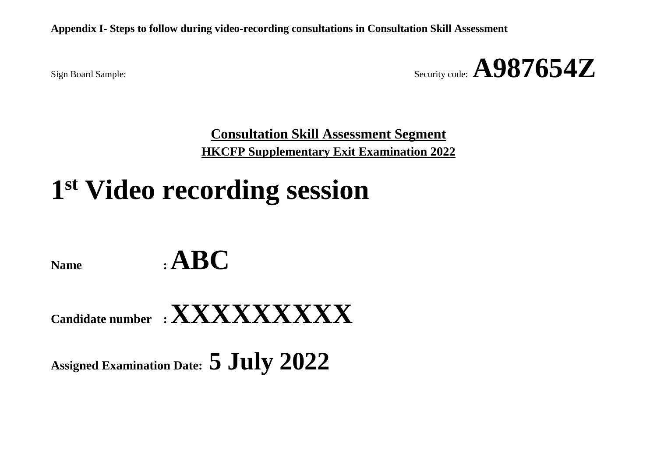**Appendix I- Steps to follow during video-recording consultations in Consultation Skill Assessment**

Sign Board Sample:  $\mathbf{A987654Z}$ 

**Consultation Skill Assessment Segment HKCFP Supplementary Exit Examination 2022**

# **1 st Video recording session**

 $N$ ame  $\qquad$ **:**  $\mathbf{ABC}$ 

**Candidate number : XXXXXXXXX**

**Assigned Examination Date: 5 July 2022**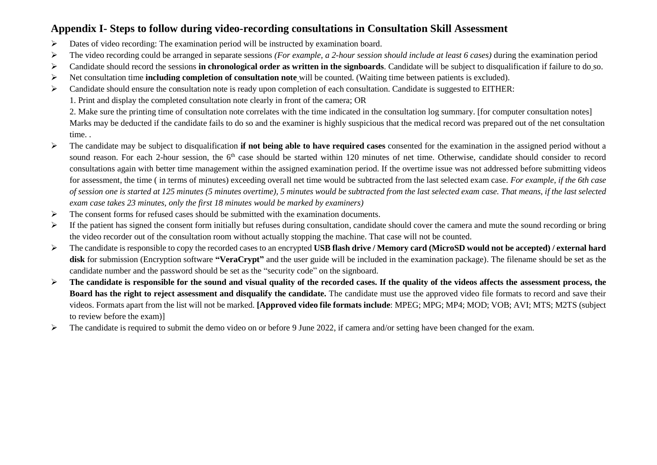## **Appendix I- Steps to follow during video-recording consultations in Consultation Skill Assessment**

- Dates of video recording: The examination period will be instructed by examination board.
- $\triangleright$  The video recording could be arranged in separate sessions *(For example, a 2-hour session should include at least 6 cases)* during the examination period
- Candidate should record the sessions **in chronological order as written in the signboards**. Candidate will be subject to disqualification if failure to do so.
- Net consultation time **including completion of consultation note** will be counted. (Waiting time between patients is excluded).
- $\triangleright$  Candidate should ensure the consultation note is ready upon completion of each consultation. Candidate is suggested to EITHER:
	- 1. Print and display the completed consultation note clearly in front of the camera; OR

2. Make sure the printing time of consultation note correlates with the time indicated in the consultation log summary. [for computer consultation notes] Marks may be deducted if the candidate fails to do so and the examiner is highly suspicious that the medical record was prepared out of the net consultation time. .

- The candidate may be subject to disqualification **if not being able to have required cases** consented for the examination in the assigned period without a sound reason. For each 2-hour session, the 6<sup>th</sup> case should be started within 120 minutes of net time. Otherwise, candidate should consider to record consultations again with better time management within the assigned examination period. If the overtime issue was not addressed before submitting videos for assessment, the time ( in terms of minutes) exceeding overall net time would be subtracted from the last selected exam case. *For example, if the 6th case of session one is started at 125 minutes (5 minutes overtime), 5 minutes would be subtracted from the last selected exam case. That means, if the last selected exam case takes 23 minutes, only the first 18 minutes would be marked by examiners)*
- $\triangleright$  The consent forms for refused cases should be submitted with the examination documents.
- $\triangleright$  If the patient has signed the consent form initially but refuses during consultation, candidate should cover the camera and mute the sound recording or bring the video recorder out of the consultation room without actually stopping the machine. That case will not be counted.
- The candidate is responsible to copy the recorded cases to an encrypted **USB flash drive / Memory card (MicroSD would not be accepted) / external hard**  disk for submission (Encryption software "VeraCrypt" and the user guide will be included in the examination package). The filename should be set as the candidate number and the password should be set as the "security code" on the signboard.
- **The candidate is responsible for the sound and visual quality of the recorded cases. If the quality of the videos affects the assessment process, the Board has the right to reject assessment and disqualify the candidate.** The candidate must use the approved video file formats to record and save their videos. Formats apart from the list will not be marked. **[Approved video file formats include**: MPEG; MPG; MP4; MOD; VOB; AVI; MTS; M2TS (subject to review before the exam)]
- The candidate is required to submit the demo video on or before 9 June 2022, if camera and/or setting have been changed for the exam.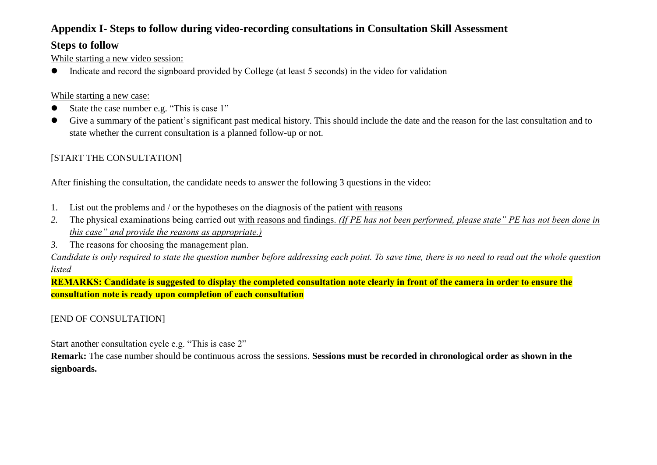# **Appendix I- Steps to follow during video-recording consultations in Consultation Skill Assessment**

## **Steps to follow**

While starting a new video session:

Indicate and record the signboard provided by College (at least 5 seconds) in the video for validation

#### While starting a new case:

- State the case number e.g. "This is case 1"
- Give a summary of the patient's significant past medical history. This should include the date and the reason for the last consultation and to state whether the current consultation is a planned follow-up or not.

# [START THE CONSULTATION]

After finishing the consultation, the candidate needs to answer the following 3 questions in the video:

- 1. List out the problems and / or the hypotheses on the diagnosis of the patient with reasons
- *2.* The physical examinations being carried out with reasons and findings. *(If PE has not been performed, please state" PE has not been done in this case" and provide the reasons as appropriate.)*
- *3.* The reasons for choosing the management plan.

*Candidate is only required to state the question number before addressing each point. To save time, there is no need to read out the whole question listed*

**REMARKS: Candidate is suggested to display the completed consultation note clearly in front of the camera in order to ensure the consultation note is ready upon completion of each consultation**

## [END OF CONSULTATION]

Start another consultation cycle e.g. "This is case 2"

**Remark:** The case number should be continuous across the sessions. **Sessions must be recorded in chronological order as shown in the signboards.**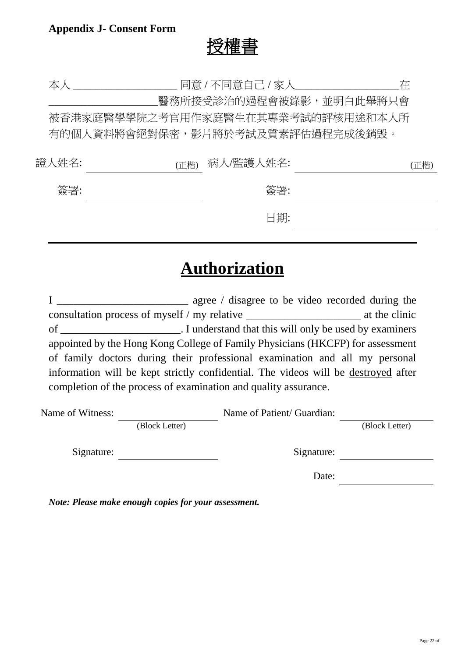# 授權書

本人 \_\_\_\_\_\_\_\_\_\_\_\_\_\_\_\_\_\_\_ 同意 / 不同意自己 / 家人\_\_\_\_\_\_\_\_\_\_\_\_\_\_\_\_\_\_\_在 \_\_\_\_\_\_\_\_\_\_\_\_\_\_\_\_\_\_\_\_醫務所接受診治的過程會被錄影,並明白此舉將只會 被香港家庭醫學學院之考官用作家庭醫生在其專業考試的評核用途和本人所 有的個人資料將會絕對保密,影片將於考試及質素評估過程完成後銷毁。 證人姓名: (正楷) 病人/監護人姓名: (正楷) 簽署: 簽署:

日期:

# **Authorization**

I \_\_\_\_\_\_\_\_\_\_\_\_\_\_\_\_\_\_\_\_\_\_\_\_ agree / disagree to be video recorded during the consultation process of myself / my relative \_\_\_\_\_\_\_\_\_\_\_\_\_\_\_\_\_\_\_\_\_ at the clinic of \_\_\_\_\_\_\_\_\_\_\_\_\_\_\_\_\_\_\_\_\_\_. I understand that this will only be used by examiners appointed by the Hong Kong College of Family Physicians (HKCFP) for assessment of family doctors during their professional examination and all my personal information will be kept strictly confidential. The videos will be destroyed after completion of the process of examination and quality assurance.

| Name of Witness: |                | Name of Patient/ Guardian: |                |  |
|------------------|----------------|----------------------------|----------------|--|
|                  | (Block Letter) |                            | (Block Letter) |  |
| Signature:       |                | Signature:                 |                |  |
|                  |                | Date:                      |                |  |

*Note: Please make enough copies for your assessment.*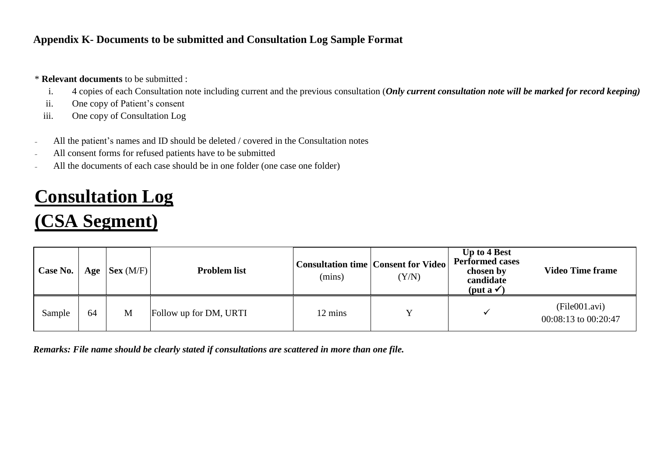## **Appendix K- Documents to be submitted and Consultation Log Sample Format**

#### \* **Relevant documents** to be submitted :

- i. 4 copies of each Consultation note including current and the previous consultation (*Only current consultation note will be marked for record keeping)*
- ii. One copy of Patient's consent
- iii. One copy of Consultation Log
- All the patient's names and ID should be deleted / covered in the Consultation notes
- All consent forms for refused patients have to be submitted
- All the documents of each case should be in one folder (one case one folder)

# **Consultation Log (CSA Segment)**

#### **Case No. Age**  $\begin{bmatrix} \text{Sex (M/F)} \end{bmatrix}$  **Problem list Consultation time Consent for Video** (mins)  $(Y/N)$ **Up to 4 Best Performed cases chosen by candidate (put a ) Video Time frame** Sample  $\begin{array}{|c|c|c|c|c|c|} \hline 64 & M & \hline \end{array}$  Follow up for DM, URTI 12 mins  $\begin{array}{|c|c|c|c|c|} \hline 12 & m & \hline \end{array}$  Y (File001.avi) 00:08:13 to 00:20:47

*Remarks: File name should be clearly stated if consultations are scattered in more than one file.*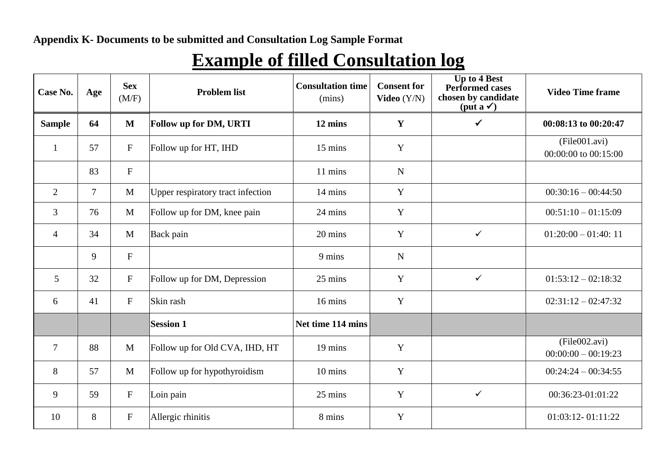# **Example of filled Consultation log**

| Case No.       | Age            | <b>Sex</b><br>(M/F) | <b>Problem list</b>               | <b>Consultation time</b><br>(mins) | <b>Consent for</b><br>Video $(Y/N)$ | <b>Up to 4 Best</b><br>Performed cases<br>chosen by candidate<br>$(\text{put } a \checkmark)$ | <b>Video Time frame</b>                |
|----------------|----------------|---------------------|-----------------------------------|------------------------------------|-------------------------------------|-----------------------------------------------------------------------------------------------|----------------------------------------|
| <b>Sample</b>  | 64             | $\mathbf M$         | <b>Follow up for DM, URTI</b>     | 12 mins                            | Y                                   | $\checkmark$                                                                                  | 00:08:13 to 00:20:47                   |
| -1             | 57             | $\mathbf F$         | Follow up for HT, IHD             | 15 mins                            | Y                                   |                                                                                               | (File001.avi)<br>00:00:00 to 00:15:00  |
|                | 83             | $\mathbf{F}$        |                                   | 11 mins                            | $\mathbf N$                         |                                                                                               |                                        |
| $\overline{2}$ | $\overline{7}$ | $\mathbf{M}$        | Upper respiratory tract infection | 14 mins                            | Y                                   |                                                                                               | $00:30:16-00:44:50$                    |
| 3              | 76             | $\mathbf M$         | Follow up for DM, knee pain       | 24 mins                            | Y                                   |                                                                                               | $00:51:10-01:15:09$                    |
| $\overline{4}$ | 34             | M                   | Back pain                         | 20 mins                            | Y                                   | $\checkmark$                                                                                  | $01:20:00 - 01:40:11$                  |
|                | 9              | F                   |                                   | 9 mins                             | $\mathbf N$                         |                                                                                               |                                        |
| 5              | 32             | $\mathbf F$         | Follow up for DM, Depression      | 25 mins                            | Y                                   | $\checkmark$                                                                                  | $01:53:12-02:18:32$                    |
| 6              | 41             | $\mathbf F$         | Skin rash                         | 16 mins                            | Y                                   |                                                                                               | $02:31:12-02:47:32$                    |
|                |                |                     | <b>Session 1</b>                  | Net time 114 mins                  |                                     |                                                                                               |                                        |
| $\overline{7}$ | 88             | $\mathbf{M}$        | Follow up for Old CVA, IHD, HT    | 19 mins                            | $\mathbf Y$                         |                                                                                               | (File002.avi)<br>$00:00:00 - 00:19:23$ |
| 8              | 57             | $\mathbf{M}$        | Follow up for hypothyroidism      | 10 mins                            | Y                                   |                                                                                               | $00:24:24 - 00:34:55$                  |
| 9              | 59             | $\mathbf F$         | Loin pain                         | 25 mins                            | Y                                   | $\checkmark$                                                                                  | 00:36:23-01:01:22                      |
| 10             | 8              | $\mathbf F$         | Allergic rhinitis                 | 8 mins                             | Y                                   |                                                                                               | 01:03:12-01:11:22                      |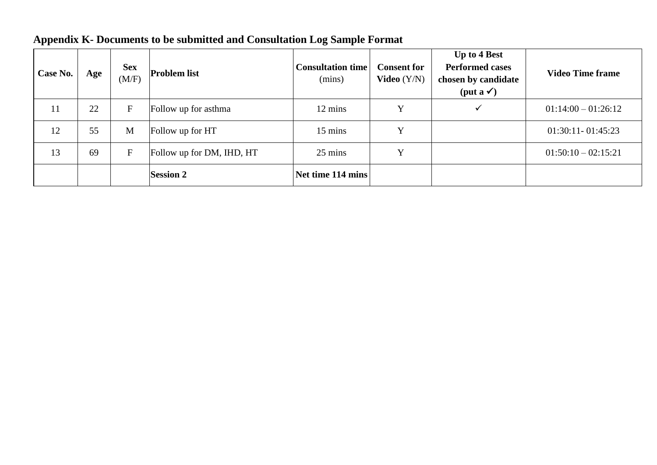| Case No.      | Age | <b>Sex</b><br>(M/F)     | <b>Problem list</b>       | <b>Consultation time</b><br>(mins) | <b>Consent for</b><br><b>Video</b> $(Y/N)$ | <b>Up to 4 Best</b><br><b>Performed cases</b><br>chosen by candidate<br>$(\text{put } a \checkmark)$ | <b>Video Time frame</b> |
|---------------|-----|-------------------------|---------------------------|------------------------------------|--------------------------------------------|------------------------------------------------------------------------------------------------------|-------------------------|
| <sup>11</sup> | 22  | $\mathbf F$             | Follow up for asthma      | 12 mins                            | $\mathbf v$                                | $\checkmark$                                                                                         | $01:14:00 - 01:26:12$   |
| 12            | 55  | M                       | Follow up for HT          | 15 mins                            | v                                          |                                                                                                      | $01:30:11 - 01:45:23$   |
| 13            | 69  | $\overline{\mathrm{F}}$ | Follow up for DM, IHD, HT | 25 mins                            | v                                          |                                                                                                      | $01:50:10-02:15:21$     |
|               |     |                         | <b>Session 2</b>          | Net time 114 mins                  |                                            |                                                                                                      |                         |

# **Appendix K- Documents to be submitted and Consultation Log Sample Format**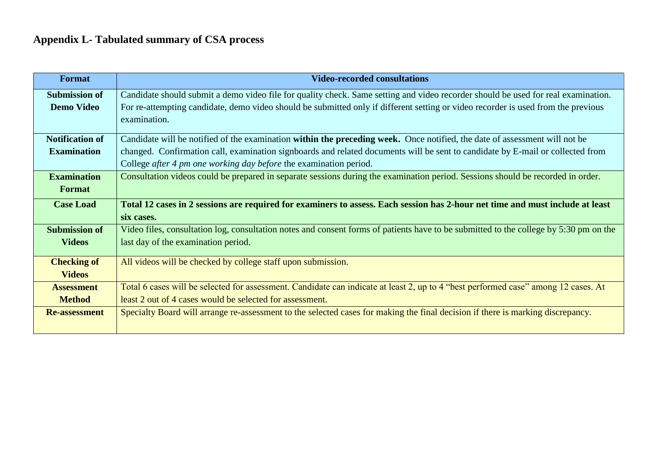# **Appendix L- Tabulated summary of CSA process**

| Format                 | <b>Video-recorded consultations</b>                                                                                                   |
|------------------------|---------------------------------------------------------------------------------------------------------------------------------------|
| <b>Submission of</b>   | Candidate should submit a demo video file for quality check. Same setting and video recorder should be used for real examination.     |
| <b>Demo Video</b>      | For re-attempting candidate, demo video should be submitted only if different setting or video recorder is used from the previous     |
|                        | examination.                                                                                                                          |
| <b>Notification of</b> | Candidate will be notified of the examination within the preceding week. Once notified, the date of assessment will not be            |
| <b>Examination</b>     | changed. Confirmation call, examination signboards and related documents will be sent to candidate by E-mail or collected from        |
|                        | College after 4 pm one working day before the examination period.                                                                     |
| <b>Examination</b>     | Consultation videos could be prepared in separate sessions during the examination period. Sessions should be recorded in order.       |
| <b>Format</b>          |                                                                                                                                       |
| <b>Case Load</b>       | Total 12 cases in 2 sessions are required for examiners to assess. Each session has 2-hour net time and must include at least         |
|                        | six cases.                                                                                                                            |
| <b>Submission of</b>   | Video files, consultation log, consultation notes and consent forms of patients have to be submitted to the college by 5:30 pm on the |
| <b>Videos</b>          | last day of the examination period.                                                                                                   |
| <b>Checking of</b>     | All videos will be checked by college staff upon submission.                                                                          |
| <b>Videos</b>          |                                                                                                                                       |
| <b>Assessment</b>      | Total 6 cases will be selected for assessment. Candidate can indicate at least 2, up to 4 "best performed case" among 12 cases. At    |
| <b>Method</b>          | least 2 out of 4 cases would be selected for assessment.                                                                              |
| <b>Re-assessment</b>   | Specialty Board will arrange re-assessment to the selected cases for making the final decision if there is marking discrepancy.       |
|                        |                                                                                                                                       |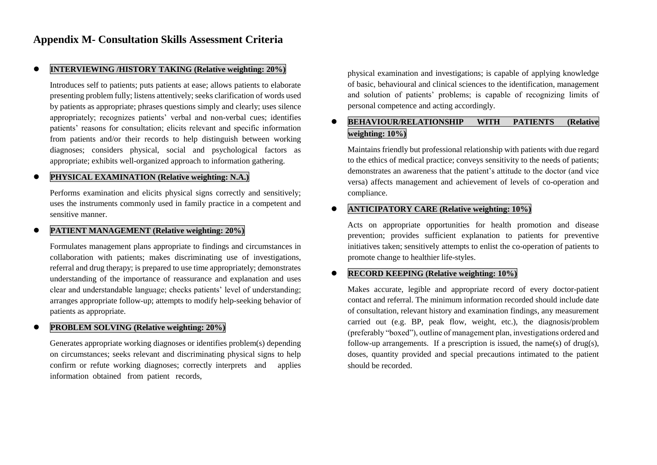#### **INTERVIEWING /HISTORY TAKING (Relative weighting: 20%)**

Introduces self to patients; puts patients at ease; allows patients to elaborate presenting problem fully; listens attentively; seeks clarification of words used by patients as appropriate; phrases questions simply and clearly; uses silence appropriately; recognizes patients' verbal and non-verbal cues; identifies patients' reasons for consultation; elicits relevant and specific information from patients and/or their records to help distinguish between working diagnoses; considers physical, social and psychological factors as appropriate; exhibits well-organized approach to information gathering.

#### **PHYSICAL EXAMINATION (Relative weighting: N.A.)**

Performs examination and elicits physical signs correctly and sensitively; uses the instruments commonly used in family practice in a competent and sensitive manner.

#### **PATIENT MANAGEMENT (Relative weighting: 20%)**

Formulates management plans appropriate to findings and circumstances in collaboration with patients; makes discriminating use of investigations, referral and drug therapy; is prepared to use time appropriately; demonstrates understanding of the importance of reassurance and explanation and uses clear and understandable language; checks patients' level of understanding; arranges appropriate follow-up; attempts to modify help-seeking behavior of patients as appropriate.

#### **PROBLEM SOLVING (Relative weighting: 20%)**

Generates appropriate working diagnoses or identifies problem(s) depending on circumstances; seeks relevant and discriminating physical signs to help confirm or refute working diagnoses; correctly interprets and applies information obtained from patient records,

physical examination and investigations; is capable of applying knowledge of basic, behavioural and clinical sciences to the identification, management and solution of patients' problems; is capable of recognizing limits of personal competence and acting accordingly.

#### **BEHAVIOUR/RELATIONSHIP WITH PATIENTS (Relative weighting: 10%)**

Maintains friendly but professional relationship with patients with due regard to the ethics of medical practice; conveys sensitivity to the needs of patients; demonstrates an awareness that the patient's attitude to the doctor (and vice versa) affects management and achievement of levels of co-operation and compliance.

#### **ANTICIPATORY CARE (Relative weighting: 10%)**

Acts on appropriate opportunities for health promotion and disease prevention; provides sufficient explanation to patients for preventive initiatives taken; sensitively attempts to enlist the co-operation of patients to promote change to healthier life-styles.

#### **RECORD KEEPING (Relative weighting: 10%)**

Makes accurate, legible and appropriate record of every doctor-patient contact and referral. The minimum information recorded should include date of consultation, relevant history and examination findings, any measurement carried out (e.g. BP, peak flow, weight, etc.), the diagnosis/problem (preferably "boxed"), outline of management plan, investigations ordered and follow-up arrangements. If a prescription is issued, the name(s) of drug(s), doses, quantity provided and special precautions intimated to the patient should be recorded.